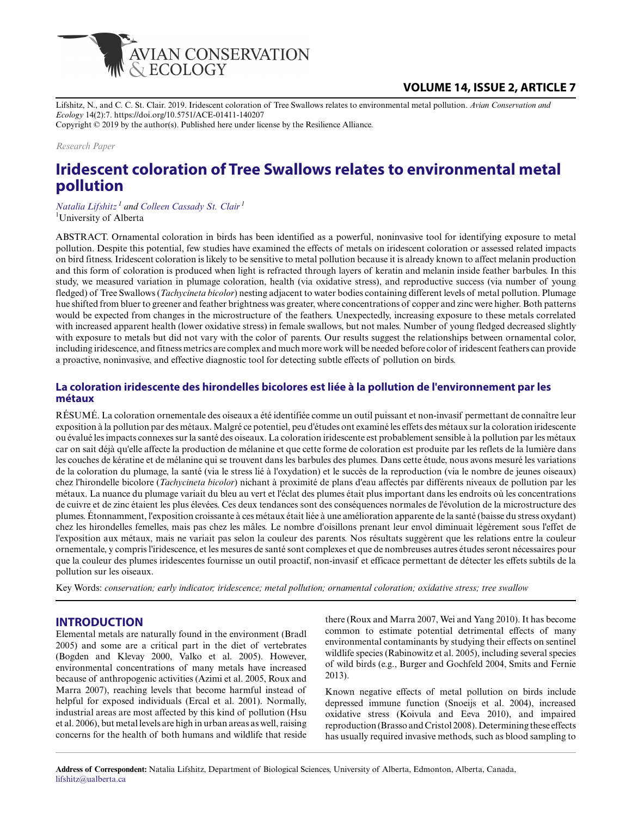

# **VOLUME 14, ISSUE 2, ARTICLE 7**

Lifshitz, N., and C. C. St. Clair. 2019. Iridescent coloration of Tree Swallows relates to environmental metal pollution. *Avian Conservation and Ecology* 14(2):7. https://doi.org/10.5751/ACE-01411-140207

Copyright © 2019 by the author(s). Published here under license by the Resilience Alliance.

*Research Paper*

# **Iridescent coloration of Tree Swallows relates to environmental metal pollution**

*[Natalia Lifshitz](mailto:lifshitz@ualberta.ca)<sup>1</sup> and [Colleen Cassady St. Clair](mailto:cstclair@ualberta.ca)<sup>1</sup>* <sup>1</sup>University of Alberta

ABSTRACT. Ornamental coloration in birds has been identified as a powerful, noninvasive tool for identifying exposure to metal pollution. Despite this potential, few studies have examined the effects of metals on iridescent coloration or assessed related impacts on bird fitness. Iridescent coloration is likely to be sensitive to metal pollution because it is already known to affect melanin production and this form of coloration is produced when light is refracted through layers of keratin and melanin inside feather barbules. In this study, we measured variation in plumage coloration, health (via oxidative stress), and reproductive success (via number of young fledged) of Tree Swallows (*Tachycineta bicolor*) nesting adjacent to water bodies containing different levels of metal pollution. Plumage hue shifted from bluer to greener and feather brightness was greater, where concentrations of copper and zinc were higher. Both patterns would be expected from changes in the microstructure of the feathers. Unexpectedly, increasing exposure to these metals correlated with increased apparent health (lower oxidative stress) in female swallows, but not males. Number of young fledged decreased slightly with exposure to metals but did not vary with the color of parents. Our results suggest the relationships between ornamental color, including iridescence, and fitness metrics are complex and much more work will be needed before color of iridescent feathers can provide a proactive, noninvasive, and effective diagnostic tool for detecting subtle effects of pollution on birds.

#### **La coloration iridescente des hirondelles bicolores est liée à la pollution de l'environnement par les métaux**

RÉSUMÉ. La coloration ornementale des oiseaux a été identifiée comme un outil puissant et non-invasif permettant de connaître leur exposition à la pollution par des métaux. Malgré ce potentiel, peu d'études ont examiné les effets des métaux sur la coloration iridescente ou évalué les impacts connexes sur la santé des oiseaux. La coloration iridescente est probablement sensible à la pollution par les métaux car on sait déjà qu'elle affecte la production de mélanine et que cette forme de coloration est produite par les reflets de la lumière dans les couches de kératine et de mélanine qui se trouvent dans les barbules des plumes. Dans cette étude, nous avons mesuré les variations de la coloration du plumage, la santé (via le stress lié à l'oxydation) et le succès de la reproduction (via le nombre de jeunes oiseaux) chez l'hirondelle bicolore (*Tachycineta bicolor*) nichant à proximité de plans d'eau affectés par différents niveaux de pollution par les métaux. La nuance du plumage variait du bleu au vert et l'éclat des plumes était plus important dans les endroits où les concentrations de cuivre et de zinc étaient les plus élevées. Ces deux tendances sont des conséquences normales de l'évolution de la microstructure des plumes. Étonnamment, l'exposition croissante à ces métaux était liée à une amélioration apparente de la santé (baisse du stress oxydant) chez les hirondelles femelles, mais pas chez les mâles. Le nombre d'oisillons prenant leur envol diminuait légèrement sous l'effet de l'exposition aux métaux, mais ne variait pas selon la couleur des parents. Nos résultats suggèrent que les relations entre la couleur ornementale, y compris l'iridescence, et les mesures de santé sont complexes et que de nombreuses autres études seront nécessaires pour que la couleur des plumes iridescentes fournisse un outil proactif, non-invasif et efficace permettant de détecter les effets subtils de la pollution sur les oiseaux.

Key Words: *conservation; early indicator; iridescence; metal pollution; ornamental coloration; oxidative stress; tree swallow*

#### **INTRODUCTION**

Elemental metals are naturally found in the environment (Bradl 2005) and some are a critical part in the diet of vertebrates (Bogden and Klevay 2000, Valko et al. 2005). However, environmental concentrations of many metals have increased because of anthropogenic activities (Azimi et al. 2005, Roux and Marra 2007), reaching levels that become harmful instead of helpful for exposed individuals (Ercal et al. 2001). Normally, industrial areas are most affected by this kind of pollution (Hsu et al. 2006), but metal levels are high in urban areas as well, raising concerns for the health of both humans and wildlife that reside

there (Roux and Marra 2007, Wei and Yang 2010). It has become common to estimate potential detrimental effects of many environmental contaminants by studying their effects on sentinel wildlife species (Rabinowitz et al. 2005), including several species of wild birds (e.g., Burger and Gochfeld 2004, Smits and Fernie 2013).

Known negative effects of metal pollution on birds include depressed immune function (Snoeijs et al. 2004), increased oxidative stress (Koivula and Eeva 2010), and impaired reproduction (Brasso and Cristol 2008). Determining these effects has usually required invasive methods, such as blood sampling to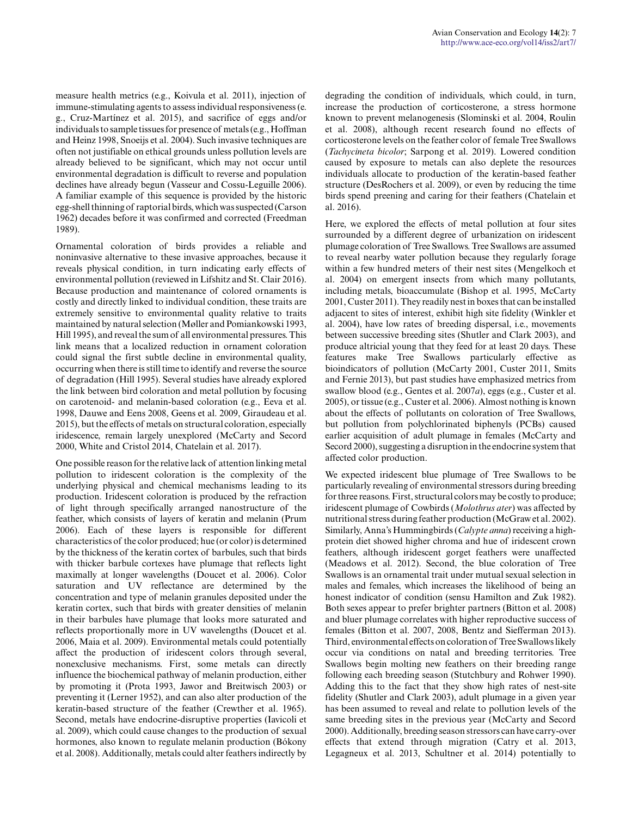measure health metrics (e.g., Koivula et al. 2011), injection of immune-stimulating agents to assess individual responsiveness (e. g., Cruz-Martínez et al. 2015), and sacrifice of eggs and/or individuals to sample tissues for presence of metals (e.g., Hoffman and Heinz 1998, Snoeijs et al. 2004). Such invasive techniques are often not justifiable on ethical grounds unless pollution levels are already believed to be significant, which may not occur until environmental degradation is difficult to reverse and population declines have already begun (Vasseur and Cossu-Leguille 2006). A familiar example of this sequence is provided by the historic egg-shell thinning of raptorial birds, which was suspected (Carson 1962) decades before it was confirmed and corrected (Freedman 1989).

Ornamental coloration of birds provides a reliable and noninvasive alternative to these invasive approaches, because it reveals physical condition, in turn indicating early effects of environmental pollution (reviewed in Lifshitz and St. Clair 2016). Because production and maintenance of colored ornaments is costly and directly linked to individual condition, these traits are extremely sensitive to environmental quality relative to traits maintained by natural selection (Møller and Pomiankowski 1993, Hill 1995), and reveal the sum of all environmental pressures. This link means that a localized reduction in ornament coloration could signal the first subtle decline in environmental quality, occurring when there is still time to identify and reverse the source of degradation (Hill 1995). Several studies have already explored the link between bird coloration and metal pollution by focusing on carotenoid- and melanin-based coloration (e.g., Eeva et al. 1998, Dauwe and Eens 2008, Geens et al. 2009, Giraudeau et al. 2015), but the effects of metals on structural coloration, especially iridescence, remain largely unexplored (McCarty and Secord 2000, White and Cristol 2014, Chatelain et al. 2017).

One possible reason for the relative lack of attention linking metal pollution to iridescent coloration is the complexity of the underlying physical and chemical mechanisms leading to its production. Iridescent coloration is produced by the refraction of light through specifically arranged nanostructure of the feather, which consists of layers of keratin and melanin (Prum 2006). Each of these layers is responsible for different characteristics of the color produced; hue (or color) is determined by the thickness of the keratin cortex of barbules, such that birds with thicker barbule cortexes have plumage that reflects light maximally at longer wavelengths (Doucet et al. 2006). Color saturation and UV reflectance are determined by the concentration and type of melanin granules deposited under the keratin cortex, such that birds with greater densities of melanin in their barbules have plumage that looks more saturated and reflects proportionally more in UV wavelengths (Doucet et al. 2006, Maia et al. 2009). Environmental metals could potentially affect the production of iridescent colors through several, nonexclusive mechanisms. First, some metals can directly influence the biochemical pathway of melanin production, either by promoting it (Prota 1993, Jawor and Breitwisch 2003) or preventing it (Lerner 1952), and can also alter production of the keratin-based structure of the feather (Crewther et al. 1965). Second, metals have endocrine-disruptive properties (Iavicoli et al. 2009), which could cause changes to the production of sexual hormones, also known to regulate melanin production (Bókony et al. 2008). Additionally, metals could alter feathers indirectly by degrading the condition of individuals, which could, in turn, increase the production of corticosterone, a stress hormone known to prevent melanogenesis (Slominski et al. 2004, Roulin et al. 2008), although recent research found no effects of corticosterone levels on the feather color of female Tree Swallows (*Tachycineta bicolor*; Sarpong et al. 2019). Lowered condition caused by exposure to metals can also deplete the resources individuals allocate to production of the keratin-based feather structure (DesRochers et al. 2009), or even by reducing the time birds spend preening and caring for their feathers (Chatelain et al. 2016).

Here, we explored the effects of metal pollution at four sites surrounded by a different degree of urbanization on iridescent plumage coloration of Tree Swallows. Tree Swallows are assumed to reveal nearby water pollution because they regularly forage within a few hundred meters of their nest sites (Mengelkoch et al. 2004) on emergent insects from which many pollutants, including metals, bioaccumulate (Bishop et al. 1995, McCarty 2001, Custer 2011). They readily nest in boxes that can be installed adjacent to sites of interest, exhibit high site fidelity (Winkler et al. 2004), have low rates of breeding dispersal, i.e., movements between successive breeding sites (Shutler and Clark 2003), and produce altricial young that they feed for at least 20 days. These features make Tree Swallows particularly effective as bioindicators of pollution (McCarty 2001, Custer 2011, Smits and Fernie 2013), but past studies have emphasized metrics from swallow blood (e.g., Gentes et al. 2007*a*), eggs (e.g., Custer et al. 2005), or tissue (e.g., Custer et al. 2006). Almost nothing is known about the effects of pollutants on coloration of Tree Swallows, but pollution from polychlorinated biphenyls (PCBs) caused earlier acquisition of adult plumage in females (McCarty and Secord 2000), suggesting a disruption in the endocrine system that affected color production.

We expected iridescent blue plumage of Tree Swallows to be particularly revealing of environmental stressors during breeding for three reasons. First, structural colors may be costly to produce; iridescent plumage of Cowbirds (*Molothrus ater*) was affected by nutritional stress during feather production (McGraw et al. 2002). Similarly, Anna's Hummingbirds (*Calypte anna*) receiving a highprotein diet showed higher chroma and hue of iridescent crown feathers, although iridescent gorget feathers were unaffected (Meadows et al. 2012). Second, the blue coloration of Tree Swallows is an ornamental trait under mutual sexual selection in males and females, which increases the likelihood of being an honest indicator of condition (sensu Hamilton and Zuk 1982). Both sexes appear to prefer brighter partners (Bitton et al. 2008) and bluer plumage correlates with higher reproductive success of females (Bitton et al. 2007, 2008, Bentz and Siefferman 2013). Third, environmental effects on coloration of Tree Swallows likely occur via conditions on natal and breeding territories. Tree Swallows begin molting new feathers on their breeding range following each breeding season (Stutchbury and Rohwer 1990). Adding this to the fact that they show high rates of nest-site fidelity (Shutler and Clark 2003), adult plumage in a given year has been assumed to reveal and relate to pollution levels of the same breeding sites in the previous year (McCarty and Secord 2000). Additionally, breeding season stressors can have carry-over effects that extend through migration (Catry et al. 2013, Legagneux et al. 2013, Schultner et al. 2014) potentially to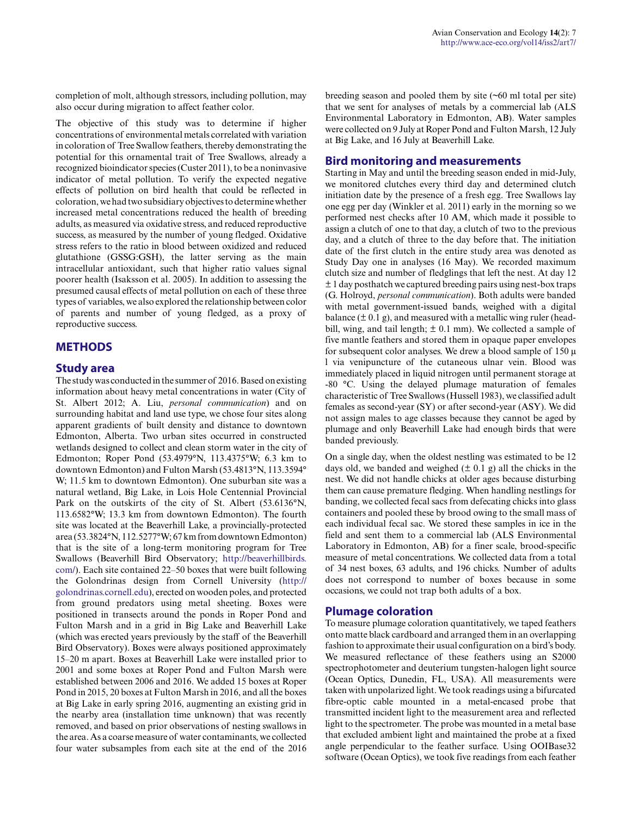completion of molt, although stressors, including pollution, may also occur during migration to affect feather color.

The objective of this study was to determine if higher concentrations of environmental metals correlated with variation in coloration of Tree Swallow feathers, thereby demonstrating the potential for this ornamental trait of Tree Swallows, already a recognized bioindicator species (Custer 2011), to be a noninvasive indicator of metal pollution. To verify the expected negative effects of pollution on bird health that could be reflected in coloration, we had two subsidiary objectives to determine whether increased metal concentrations reduced the health of breeding adults, as measured via oxidative stress, and reduced reproductive success, as measured by the number of young fledged. Oxidative stress refers to the ratio in blood between oxidized and reduced glutathione (GSSG:GSH), the latter serving as the main intracellular antioxidant, such that higher ratio values signal poorer health (Isaksson et al. 2005). In addition to assessing the presumed causal effects of metal pollution on each of these three types of variables, we also explored the relationship between color of parents and number of young fledged, as a proxy of reproductive success.

## **METHODS**

#### **Study area**

The study was conducted in the summer of 2016. Based on existing information about heavy metal concentrations in water (City of St. Albert 2012; A. Liu, *personal communication*) and on surrounding habitat and land use type, we chose four sites along apparent gradients of built density and distance to downtown Edmonton, Alberta. Two urban sites occurred in constructed wetlands designed to collect and clean storm water in the city of Edmonton; Roper Pond (53.4979°N, 113.4375°W; 6.3 km to downtown Edmonton) and Fulton Marsh (53.4813°N, 113.3594° W; 11.5 km to downtown Edmonton). One suburban site was a natural wetland, Big Lake, in Lois Hole Centennial Provincial Park on the outskirts of the city of St. Albert (53.6136°N, 113.6582°W; 13.3 km from downtown Edmonton). The fourth site was located at the Beaverhill Lake, a provincially-protected area (53.3824°N, 112.5277°W; 67 km from downtown Edmonton) that is the site of a long-term monitoring program for Tree Swallows (Beaverhill Bird Observatory; [http://beaverhillbirds.](http://beaverhillbirds.com/) [com/\)](http://beaverhillbirds.com/). Each site contained 22–50 boxes that were built following the Golondrinas design from Cornell University ([http://](http://golondrinas.cornell.edu) [golondrinas.cornell.edu\)](http://golondrinas.cornell.edu), erected on wooden poles, and protected from ground predators using metal sheeting. Boxes were positioned in transects around the ponds in Roper Pond and Fulton Marsh and in a grid in Big Lake and Beaverhill Lake (which was erected years previously by the staff of the Beaverhill Bird Observatory). Boxes were always positioned approximately 15–20 m apart. Boxes at Beaverhill Lake were installed prior to 2001 and some boxes at Roper Pond and Fulton Marsh were established between 2006 and 2016. We added 15 boxes at Roper Pond in 2015, 20 boxes at Fulton Marsh in 2016, and all the boxes at Big Lake in early spring 2016, augmenting an existing grid in the nearby area (installation time unknown) that was recently removed, and based on prior observations of nesting swallows in the area. As a coarse measure of water contaminants, we collected four water subsamples from each site at the end of the 2016 breeding season and pooled them by site (~60 ml total per site) that we sent for analyses of metals by a commercial lab (ALS Environmental Laboratory in Edmonton, AB). Water samples were collected on 9 July at Roper Pond and Fulton Marsh, 12 July at Big Lake, and 16 July at Beaverhill Lake.

### **Bird monitoring and measurements**

Starting in May and until the breeding season ended in mid-July, we monitored clutches every third day and determined clutch initiation date by the presence of a fresh egg. Tree Swallows lay one egg per day (Winkler et al. 2011) early in the morning so we performed nest checks after 10 AM, which made it possible to assign a clutch of one to that day, a clutch of two to the previous day, and a clutch of three to the day before that. The initiation date of the first clutch in the entire study area was denoted as Study Day one in analyses (16 May). We recorded maximum clutch size and number of fledglings that left the nest. At day 12 ± 1 day posthatch we captured breeding pairs using nest-box traps (G. Holroyd, *personal communication*). Both adults were banded with metal government-issued bands, weighed with a digital balance  $(\pm 0.1 \text{ g})$ , and measured with a metallic wing ruler (headbill, wing, and tail length;  $\pm$  0.1 mm). We collected a sample of five mantle feathers and stored them in opaque paper envelopes for subsequent color analyses. We drew a blood sample of  $150 \mu$ l via venipuncture of the cutaneous ulnar vein. Blood was immediately placed in liquid nitrogen until permanent storage at -80 °C. Using the delayed plumage maturation of females characteristic of Tree Swallows (Hussell 1983), we classified adult females as second-year (SY) or after second-year (ASY). We did not assign males to age classes because they cannot be aged by plumage and only Beaverhill Lake had enough birds that were banded previously.

On a single day, when the oldest nestling was estimated to be 12 days old, we banded and weighed  $(\pm 0.1 \text{ g})$  all the chicks in the nest. We did not handle chicks at older ages because disturbing them can cause premature fledging. When handling nestlings for banding, we collected fecal sacs from defecating chicks into glass containers and pooled these by brood owing to the small mass of each individual fecal sac. We stored these samples in ice in the field and sent them to a commercial lab (ALS Environmental Laboratory in Edmonton, AB) for a finer scale, brood-specific measure of metal concentrations. We collected data from a total of 34 nest boxes, 63 adults, and 196 chicks. Number of adults does not correspond to number of boxes because in some occasions, we could not trap both adults of a box.

#### **Plumage coloration**

To measure plumage coloration quantitatively, we taped feathers onto matte black cardboard and arranged them in an overlapping fashion to approximate their usual configuration on a bird's body. We measured reflectance of these feathers using an S2000 spectrophotometer and deuterium tungsten-halogen light source (Ocean Optics, Dunedin, FL, USA). All measurements were taken with unpolarized light. We took readings using a bifurcated fibre-optic cable mounted in a metal-encased probe that transmitted incident light to the measurement area and reflected light to the spectrometer. The probe was mounted in a metal base that excluded ambient light and maintained the probe at a fixed angle perpendicular to the feather surface. Using OOIBase32 software (Ocean Optics), we took five readings from each feather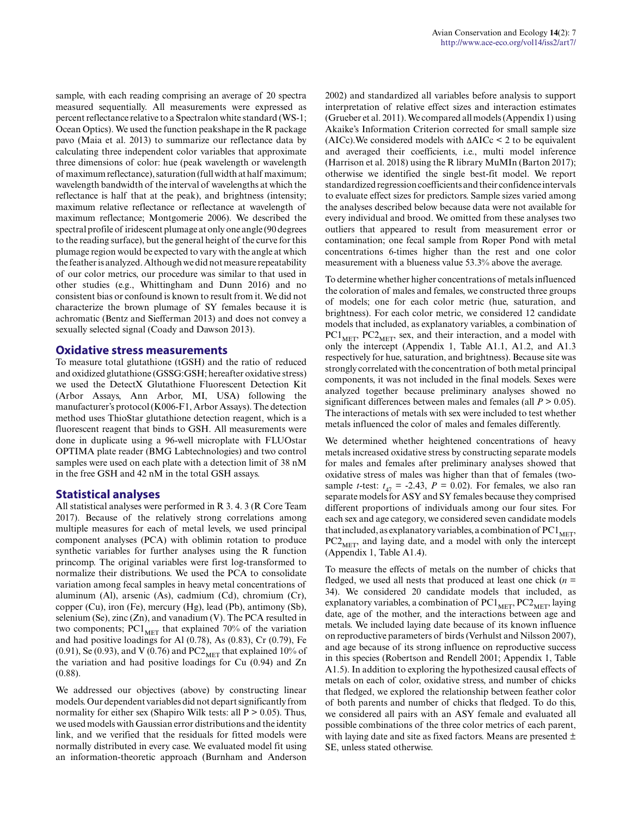sample, with each reading comprising an average of 20 spectra measured sequentially. All measurements were expressed as percent reflectance relative to a Spectralon white standard (WS-1; Ocean Optics). We used the function peakshape in the R package pavo (Maia et al. 2013) to summarize our reflectance data by calculating three independent color variables that approximate three dimensions of color: hue (peak wavelength or wavelength of maximum reflectance), saturation (full width at half maximum; wavelength bandwidth of the interval of wavelengths at which the reflectance is half that at the peak), and brightness (intensity; maximum relative reflectance or reflectance at wavelength of maximum reflectance; Montgomerie 2006). We described the spectral profile of iridescent plumage at only one angle (90 degrees to the reading surface), but the general height of the curve for this plumage region would be expected to vary with the angle at which the feather is analyzed. Although we did not measure repeatability of our color metrics, our procedure was similar to that used in other studies (e.g., Whittingham and Dunn 2016) and no consistent bias or confound is known to result from it. We did not characterize the brown plumage of SY females because it is achromatic (Bentz and Siefferman 2013) and does not convey a sexually selected signal (Coady and Dawson 2013).

#### **Oxidative stress measurements**

To measure total glutathione (tGSH) and the ratio of reduced and oxidized glutathione (GSSG:GSH; hereafter oxidative stress) we used the DetectX Glutathione Fluorescent Detection Kit (Arbor Assays, Ann Arbor, MI, USA) following the manufacturer's protocol (K006-F1, Arbor Assays). The detection method uses ThioStar glutathione detection reagent, which is a fluorescent reagent that binds to GSH. All measurements were done in duplicate using a 96-well microplate with FLUOstar OPTIMA plate reader (BMG Labtechnologies) and two control samples were used on each plate with a detection limit of 38 nM in the free GSH and 42 nM in the total GSH assays.

#### **Statistical analyses**

All statistical analyses were performed in R 3. 4. 3 (R Core Team 2017). Because of the relatively strong correlations among multiple measures for each of metal levels, we used principal component analyses (PCA) with oblimin rotation to produce synthetic variables for further analyses using the R function princomp. The original variables were first log-transformed to normalize their distributions. We used the PCA to consolidate variation among fecal samples in heavy metal concentrations of aluminum (Al), arsenic (As), cadmium (Cd), chromium (Cr), copper (Cu), iron (Fe), mercury (Hg), lead (Pb), antimony (Sb), selenium (Se), zinc (Zn), and vanadium (V). The PCA resulted in two components;  $PCl_{MET}$  that explained 70% of the variation and had positive loadings for Al (0.78), As (0.83), Cr (0.79), Fe (0.91), Se (0.93), and V (0.76) and  $PC2_{\text{MET}}$  that explained 10% of the variation and had positive loadings for Cu (0.94) and Zn (0.88).

We addressed our objectives (above) by constructing linear models. Our dependent variables did not depart significantly from normality for either sex (Shapiro Wilk tests: all  $P > 0.05$ ). Thus, we used models with Gaussian error distributions and the identity link, and we verified that the residuals for fitted models were normally distributed in every case. We evaluated model fit using an information-theoretic approach (Burnham and Anderson 2002) and standardized all variables before analysis to support interpretation of relative effect sizes and interaction estimates (Grueber et al. 2011). We compared all models (Appendix 1) using Akaike's Information Criterion corrected for small sample size (AICc). We considered models with  $\triangle AICc \leq 2$  to be equivalent and averaged their coefficients, i.e., multi model inference (Harrison et al. 2018) using the R library MuMIn (Barton 2017); otherwise we identified the single best-fit model. We report standardized regression coefficients and their confidence intervals to evaluate effect sizes for predictors. Sample sizes varied among the analyses described below because data were not available for every individual and brood. We omitted from these analyses two outliers that appeared to result from measurement error or contamination; one fecal sample from Roper Pond with metal concentrations 6-times higher than the rest and one color measurement with a blueness value 53.3% above the average.

To determine whether higher concentrations of metals influenced the coloration of males and females, we constructed three groups of models; one for each color metric (hue, saturation, and brightness). For each color metric, we considered 12 candidate models that included, as explanatory variables, a combination of  $PC1<sub>MET</sub>$ ,  $PC2<sub>MET</sub>$ , sex, and their interaction, and a model with only the intercept (Appendix 1, Table A1.1, A1.2, and A1.3 respectively for hue, saturation, and brightness). Because site was strongly correlated with the concentration of both metal principal components, it was not included in the final models. Sexes were analyzed together because preliminary analyses showed no significant differences between males and females (all *P* > 0.05). The interactions of metals with sex were included to test whether metals influenced the color of males and females differently.

We determined whether heightened concentrations of heavy metals increased oxidative stress by constructing separate models for males and females after preliminary analyses showed that oxidative stress of males was higher than that of females (twosample *t*-test:  $t_{47} = -2.43$ ,  $P = 0.02$ ). For females, we also ran separate models for ASY and SY females because they comprised different proportions of individuals among our four sites. For each sex and age category, we considered seven candidate models that included, as explanatory variables, a combination of  $\text{PC1}_{\text{MET}}$ ,  $PC2<sub>MET</sub>$ , and laying date, and a model with only the intercept (Appendix 1, Table A1.4).

To measure the effects of metals on the number of chicks that fledged, we used all nests that produced at least one chick  $(n =$ 34). We considered 20 candidate models that included, as explanatory variables, a combination of  $\text{PC1}_{\text{MET}}$ ,  $\text{PC2}_{\text{MET}}$ , laying date, age of the mother, and the interactions between age and metals. We included laying date because of its known influence on reproductive parameters of birds (Verhulst and Nilsson 2007), and age because of its strong influence on reproductive success in this species (Robertson and Rendell 2001; Appendix 1, Table A1.5). In addition to exploring the hypothesized causal effects of metals on each of color, oxidative stress, and number of chicks that fledged, we explored the relationship between feather color of both parents and number of chicks that fledged. To do this, we considered all pairs with an ASY female and evaluated all possible combinations of the three color metrics of each parent, with laying date and site as fixed factors. Means are presented  $\pm$ SE, unless stated otherwise.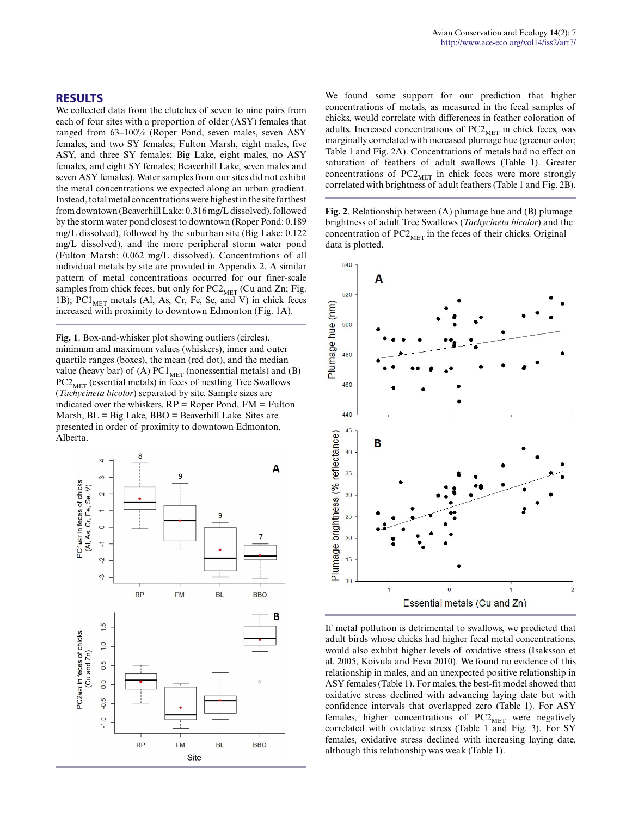#### **RESULTS**

We collected data from the clutches of seven to nine pairs from each of four sites with a proportion of older (ASY) females that ranged from 63–100% (Roper Pond, seven males, seven ASY females, and two SY females; Fulton Marsh, eight males, five ASY, and three SY females; Big Lake, eight males, no ASY females, and eight SY females; Beaverhill Lake, seven males and seven ASY females). Water samples from our sites did not exhibit the metal concentrations we expected along an urban gradient. Instead, total metal concentrations were highest in the site farthest from downtown (Beaverhill Lake: 0.316 mg/L dissolved), followed by the storm water pond closest to downtown (Roper Pond: 0.189 mg/L dissolved), followed by the suburban site (Big Lake: 0.122 mg/L dissolved), and the more peripheral storm water pond (Fulton Marsh: 0.062 mg/L dissolved). Concentrations of all individual metals by site are provided in Appendix 2. A similar pattern of metal concentrations occurred for our finer-scale samples from chick feces, but only for  $PC2<sub>MET</sub>$  (Cu and Zn; Fig. 1B);  $PCI_{MET}$  metals (Al, As, Cr, Fe, Se, and V) in chick feces increased with proximity to downtown Edmonton (Fig. 1A).

**Fig. 1**. Box-and-whisker plot showing outliers (circles), minimum and maximum values (whiskers), inner and outer quartile ranges (boxes), the mean (red dot), and the median value (heavy bar) of (A)  $PC1_{MET}$  (nonessential metals) and (B)  $PC2<sub>MET</sub>$  (essential metals) in feces of nestling Tree Swallows (*Tachycineta bicolor*) separated by site. Sample sizes are indicated over the whiskers.  $RP = Roper Pond$ ,  $FM = Fulton$ Marsh,  $BL = Big Lake$ ,  $BBO =$ *Beaverhill Lake. Sites are* presented in order of proximity to downtown Edmonton, Alberta.



We found some support for our prediction that higher concentrations of metals, as measured in the fecal samples of chicks, would correlate with differences in feather coloration of adults. Increased concentrations of  $PC2<sub>MET</sub>$  in chick feces, was marginally correlated with increased plumage hue (greener color; Table 1 and Fig. 2A). Concentrations of metals had no effect on saturation of feathers of adult swallows (Table 1). Greater concentrations of  $PC2<sub>MET</sub>$  in chick feces were more strongly correlated with brightness of adult feathers (Table 1 and Fig. 2B).

**Fig. 2**. Relationship between (A) plumage hue and (B) plumage brightness of adult Tree Swallows (*Tachycineta bicolor*) and the concentration of  $PC2<sub>MET</sub>$  in the feces of their chicks. Original data is plotted.



If metal pollution is detrimental to swallows, we predicted that adult birds whose chicks had higher fecal metal concentrations, would also exhibit higher levels of oxidative stress (Isaksson et al. 2005, Koivula and Eeva 2010). We found no evidence of this relationship in males, and an unexpected positive relationship in ASY females (Table 1). For males, the best-fit model showed that oxidative stress declined with advancing laying date but with confidence intervals that overlapped zero (Table 1). For ASY females, higher concentrations of  $PC2<sub>MET</sub>$  were negatively correlated with oxidative stress (Table 1 and Fig. 3). For SY females, oxidative stress declined with increasing laying date, although this relationship was weak (Table 1).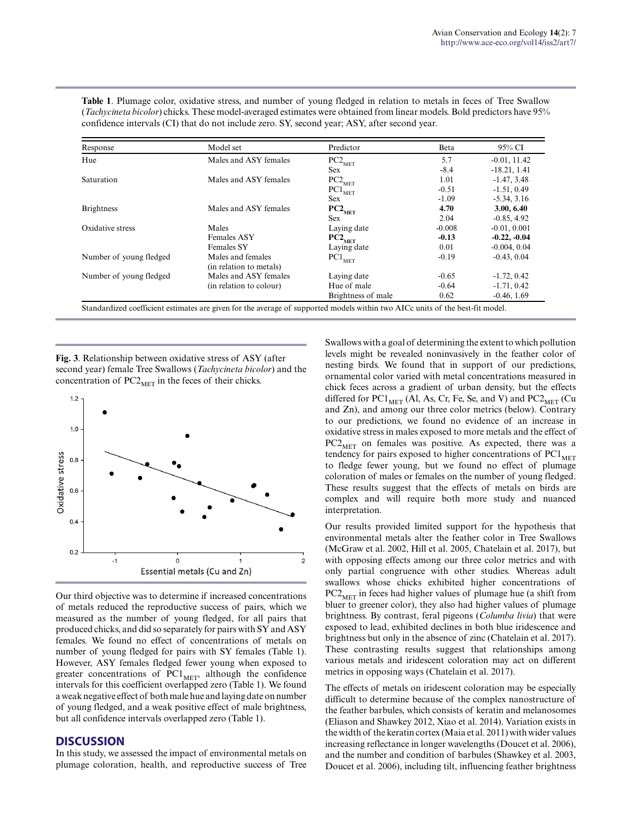| Response                | Model set               | Predictor                     | Beta     | 95% CI         |
|-------------------------|-------------------------|-------------------------------|----------|----------------|
| Hue                     | Males and ASY females   | $\mathrm{PC2}_{\mathrm{MET}}$ | 5.7      | $-0.01, 11.42$ |
|                         |                         | <b>Sex</b>                    | $-8.4$   | $-18.21, 1.41$ |
| Saturation              | Males and ASY females   | $\mathrm{PC2}_{\mathrm{MET}}$ | 1.01     | $-1.47, 3.48$  |
|                         |                         | $\text{PC1}_{\text{MET}}$     | $-0.51$  | $-1.51, 0.49$  |
|                         |                         | <b>Sex</b>                    | $-1.09$  | $-5.34, 3.16$  |
| <b>Brightness</b>       | Males and ASY females   | $\mathbf{PC2}_{\mathrm{MET}}$ | 4.70     | 3.00, 6.40     |
|                         |                         | <b>Sex</b>                    | 2.04     | $-0.85, 4.92$  |
| Oxidative stress        | Males                   | Laying date                   | $-0.008$ | $-0.01, 0.001$ |
|                         | <b>Females ASY</b>      | $\mathbf{PC2}_{\mathrm{MET}}$ | $-0.13$  | $-0.22, -0.04$ |
|                         | <b>Females SY</b>       | Laying date                   | 0.01     | $-0.004, 0.04$ |
| Number of young fledged | Males and females       | $\text{PC1}_{\text{MET}}$     | $-0.19$  | $-0.43, 0.04$  |
|                         | (in relation to metals) |                               |          |                |
| Number of young fledged | Males and ASY females   | Laying date                   | $-0.65$  | $-1.72, 0.42$  |
|                         | (in relation to colour) | Hue of male                   | $-0.64$  | $-1.71, 0.42$  |
|                         |                         | Brightness of male            | 0.62     | $-0.46, 1.69$  |

**Table 1**. Plumage color, oxidative stress, and number of young fledged in relation to metals in feces of Tree Swallow (*Tachycineta bicolor*) chicks. These model-averaged estimates were obtained from linear models. Bold predictors have 95% confidence intervals (CI) that do not include zero. SY, second year; ASY, after second year.

**Fig. 3**. Relationship between oxidative stress of ASY (after second year) female Tree Swallows (*Tachycineta bicolor*) and the concentration of  $PC2<sub>MET</sub>$  in the feces of their chicks.



Our third objective was to determine if increased concentrations of metals reduced the reproductive success of pairs, which we measured as the number of young fledged, for all pairs that produced chicks, and did so separately for pairs with SY and ASY females. We found no effect of concentrations of metals on number of young fledged for pairs with SY females (Table 1). However, ASY females fledged fewer young when exposed to greater concentrations of  $PCI_{MET}$ , although the confidence intervals for this coefficient overlapped zero (Table 1). We found a weak negative effect of both male hue and laying date on number of young fledged, and a weak positive effect of male brightness, but all confidence intervals overlapped zero (Table 1).

## **DISCUSSION**

In this study, we assessed the impact of environmental metals on plumage coloration, health, and reproductive success of Tree Swallows with a goal of determining the extent to which pollution levels might be revealed noninvasively in the feather color of nesting birds. We found that in support of our predictions, ornamental color varied with metal concentrations measured in chick feces across a gradient of urban density, but the effects differed for  $\text{PC1}_{\text{MET}}$  (Al, As, Cr, Fe, Se, and V) and  $\text{PC2}_{\text{MET}}$  (Cu and Zn), and among our three color metrics (below). Contrary to our predictions, we found no evidence of an increase in oxidative stress in males exposed to more metals and the effect of  $PC2<sub>MET</sub>$  on females was positive. As expected, there was a tendency for pairs exposed to higher concentrations of  $\text{PC1}_{\text{MET}}$ to fledge fewer young, but we found no effect of plumage coloration of males or females on the number of young fledged. These results suggest that the effects of metals on birds are complex and will require both more study and nuanced interpretation.

Our results provided limited support for the hypothesis that environmental metals alter the feather color in Tree Swallows (McGraw et al. 2002, Hill et al. 2005, Chatelain et al. 2017), but with opposing effects among our three color metrics and with only partial congruence with other studies. Whereas adult swallows whose chicks exhibited higher concentrations of  $PC2<sub>MET</sub>$  in feces had higher values of plumage hue (a shift from bluer to greener color), they also had higher values of plumage brightness. By contrast, feral pigeons (*Columba livia*) that were exposed to lead, exhibited declines in both blue iridescence and brightness but only in the absence of zinc (Chatelain et al. 2017). These contrasting results suggest that relationships among various metals and iridescent coloration may act on different metrics in opposing ways (Chatelain et al. 2017).

The effects of metals on iridescent coloration may be especially difficult to determine because of the complex nanostructure of the feather barbules, which consists of keratin and melanosomes (Eliason and Shawkey 2012, Xiao et al. 2014). Variation exists in the width of the keratin cortex (Maia et al. 2011) with wider values increasing reflectance in longer wavelengths (Doucet et al. 2006), and the number and condition of barbules (Shawkey et al. 2003, Doucet et al. 2006), including tilt, influencing feather brightness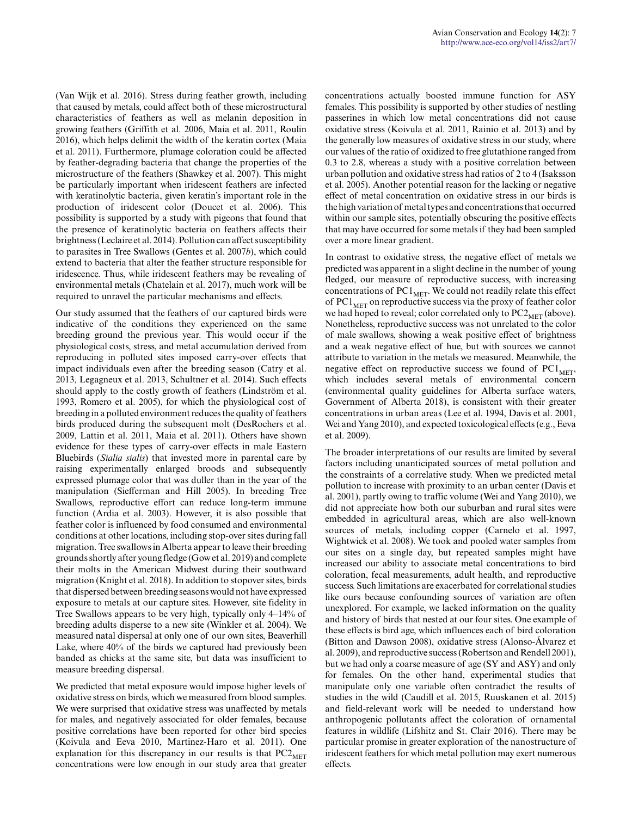(Van Wijk et al. 2016). Stress during feather growth, including that caused by metals, could affect both of these microstructural characteristics of feathers as well as melanin deposition in growing feathers (Griffith et al. 2006, Maia et al. 2011, Roulin 2016), which helps delimit the width of the keratin cortex (Maia et al. 2011). Furthermore, plumage coloration could be affected by feather-degrading bacteria that change the properties of the microstructure of the feathers (Shawkey et al. 2007). This might be particularly important when iridescent feathers are infected with keratinolytic bacteria, given keratin's important role in the production of iridescent color (Doucet et al. 2006). This possibility is supported by a study with pigeons that found that the presence of keratinolytic bacteria on feathers affects their brightness (Leclaire et al. 2014). Pollution can affect susceptibility to parasites in Tree Swallows (Gentes et al. 2007*b*), which could extend to bacteria that alter the feather structure responsible for iridescence. Thus, while iridescent feathers may be revealing of environmental metals (Chatelain et al. 2017), much work will be required to unravel the particular mechanisms and effects.

Our study assumed that the feathers of our captured birds were indicative of the conditions they experienced on the same breeding ground the previous year. This would occur if the physiological costs, stress, and metal accumulation derived from reproducing in polluted sites imposed carry-over effects that impact individuals even after the breeding season (Catry et al. 2013, Legagneux et al. 2013, Schultner et al. 2014). Such effects should apply to the costly growth of feathers (Lindström et al. 1993, Romero et al. 2005), for which the physiological cost of breeding in a polluted environment reduces the quality of feathers birds produced during the subsequent molt (DesRochers et al. 2009, Lattin et al. 2011, Maia et al. 2011). Others have shown evidence for these types of carry-over effects in male Eastern Bluebirds (*Sialia sialis*) that invested more in parental care by raising experimentally enlarged broods and subsequently expressed plumage color that was duller than in the year of the manipulation (Siefferman and Hill 2005). In breeding Tree Swallows, reproductive effort can reduce long-term immune function (Ardia et al. 2003). However, it is also possible that feather color is influenced by food consumed and environmental conditions at other locations, including stop-over sites during fall migration. Tree swallows in Alberta appear to leave their breeding grounds shortly after young fledge (Gow et al. 2019) and complete their molts in the American Midwest during their southward migration (Knight et al. 2018). In addition to stopover sites, birds that dispersed between breeding seasons would not have expressed exposure to metals at our capture sites. However, site fidelity in Tree Swallows appears to be very high, typically only 4–14% of breeding adults disperse to a new site (Winkler et al. 2004). We measured natal dispersal at only one of our own sites, Beaverhill Lake, where 40% of the birds we captured had previously been banded as chicks at the same site, but data was insufficient to measure breeding dispersal.

We predicted that metal exposure would impose higher levels of oxidative stress on birds, which we measured from blood samples. We were surprised that oxidative stress was unaffected by metals for males, and negatively associated for older females, because positive correlations have been reported for other bird species (Koivula and Eeva 2010, Martinez-Haro et al. 2011). One explanation for this discrepancy in our results is that  $PC2<sub>MET</sub>$ concentrations were low enough in our study area that greater concentrations actually boosted immune function for ASY females. This possibility is supported by other studies of nestling passerines in which low metal concentrations did not cause oxidative stress (Koivula et al. 2011, Rainio et al. 2013) and by the generally low measures of oxidative stress in our study, where our values of the ratio of oxidized to free glutathione ranged from 0.3 to 2.8, whereas a study with a positive correlation between urban pollution and oxidative stress had ratios of 2 to 4 (Isaksson et al. 2005). Another potential reason for the lacking or negative effect of metal concentration on oxidative stress in our birds is the high variation of metal types and concentrations that occurred within our sample sites, potentially obscuring the positive effects that may have occurred for some metals if they had been sampled over a more linear gradient.

In contrast to oxidative stress, the negative effect of metals we predicted was apparent in a slight decline in the number of young fledged, our measure of reproductive success, with increasing concentrations of  ${PC1}_{\text{MET}}$ . We could not readily relate this effect of  $\text{PC1}_{\text{MET}}$  on reproductive success via the proxy of feather color we had hoped to reveal; color correlated only to  $PC2<sub>MET</sub>$  (above). Nonetheless, reproductive success was not unrelated to the color of male swallows, showing a weak positive effect of brightness and a weak negative effect of hue, but with sources we cannot attribute to variation in the metals we measured. Meanwhile, the negative effect on reproductive success we found of  $PCl<sub>MET</sub>$ , which includes several metals of environmental concern (environmental quality guidelines for Alberta surface waters, Government of Alberta 2018), is consistent with their greater concentrations in urban areas (Lee et al. 1994, Davis et al. 2001, Wei and Yang 2010), and expected toxicological effects (e.g., Eeva et al. 2009).

The broader interpretations of our results are limited by several factors including unanticipated sources of metal pollution and the constraints of a correlative study. When we predicted metal pollution to increase with proximity to an urban center (Davis et al. 2001), partly owing to traffic volume (Wei and Yang 2010), we did not appreciate how both our suburban and rural sites were embedded in agricultural areas, which are also well-known sources of metals, including copper (Carnelo et al. 1997, Wightwick et al. 2008). We took and pooled water samples from our sites on a single day, but repeated samples might have increased our ability to associate metal concentrations to bird coloration, fecal measurements, adult health, and reproductive success. Such limitations are exacerbated for correlational studies like ours because confounding sources of variation are often unexplored. For example, we lacked information on the quality and history of birds that nested at our four sites. One example of these effects is bird age, which influences each of bird coloration (Bitton and Dawson 2008), oxidative stress (Alonso-Álvarez et al. 2009), and reproductive success (Robertson and Rendell 2001), but we had only a coarse measure of age (SY and ASY) and only for females. On the other hand, experimental studies that manipulate only one variable often contradict the results of studies in the wild (Caudill et al. 2015, Ruuskanen et al. 2015) and field-relevant work will be needed to understand how anthropogenic pollutants affect the coloration of ornamental features in wildlife (Lifshitz and St. Clair 2016). There may be particular promise in greater exploration of the nanostructure of iridescent feathers for which metal pollution may exert numerous effects.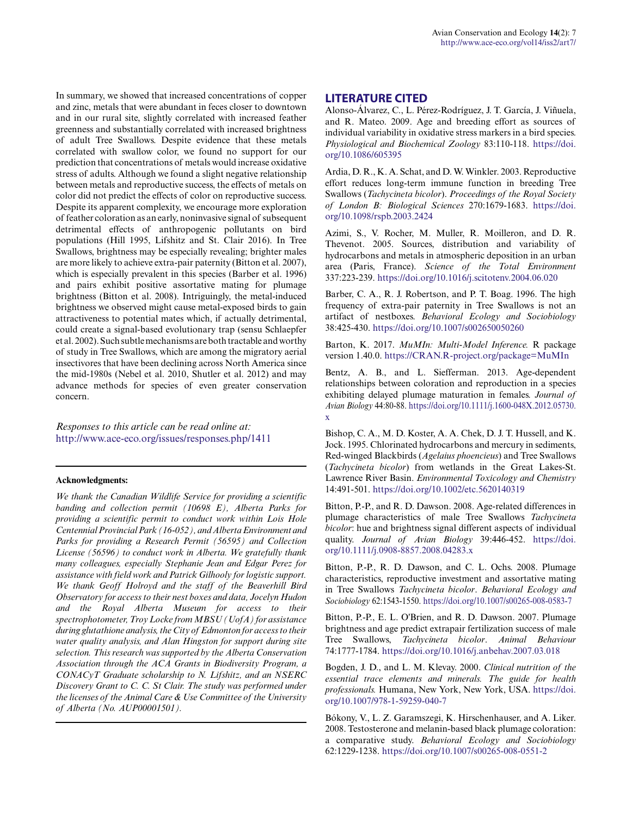In summary, we showed that increased concentrations of copper and zinc, metals that were abundant in feces closer to downtown and in our rural site, slightly correlated with increased feather greenness and substantially correlated with increased brightness of adult Tree Swallows. Despite evidence that these metals correlated with swallow color, we found no support for our prediction that concentrations of metals would increase oxidative stress of adults. Although we found a slight negative relationship between metals and reproductive success, the effects of metals on color did not predict the effects of color on reproductive success. Despite its apparent complexity, we encourage more exploration of feather coloration as an early, noninvasive signal of subsequent detrimental effects of anthropogenic pollutants on bird populations (Hill 1995, Lifshitz and St. Clair 2016). In Tree Swallows, brightness may be especially revealing; brighter males are more likely to achieve extra-pair paternity (Bitton et al. 2007), which is especially prevalent in this species (Barber et al. 1996) and pairs exhibit positive assortative mating for plumage brightness (Bitton et al. 2008). Intriguingly, the metal-induced brightness we observed might cause metal-exposed birds to gain attractiveness to potential mates which, if actually detrimental, could create a signal-based evolutionary trap (sensu Schlaepfer et al. 2002). Such subtle mechanisms are both tractable and worthy of study in Tree Swallows, which are among the migratory aerial insectivores that have been declining across North America since the mid-1980s (Nebel et al. 2010, Shutler et al. 2012) and may advance methods for species of even greater conservation concern.

*Responses to this article can be read online at:* <http://www.ace-eco.org/issues/responses.php/1411>

#### **Acknowledgments:**

*We thank the Canadian Wildlife Service for providing a scientific banding and collection permit (10698 E), Alberta Parks for providing a scientific permit to conduct work within Lois Hole Centennial Provincial Park (16-052), and Alberta Environment and Parks for providing a Research Permit (56595) and Collection License (56596) to conduct work in Alberta. We gratefully thank many colleagues, especially Stephanie Jean and Edgar Perez for assistance with field work and Patrick Gilhooly for logistic support. We thank Geoff Holroyd and the staff of the Beaverhill Bird Observatory for access to their nest boxes and data, Jocelyn Hudon and the Royal Alberta Museum for access to their spectrophotometer, Troy Locke from MBSU (UofA) for assistance during glutathione analysis, the City of Edmonton for access to their water quality analysis, and Alan Hingston for support during site selection. This research was supported by the Alberta Conservation Association through the ACA Grants in Biodiversity Program, a CONACyT Graduate scholarship to N. Lifshitz, and an NSERC Discovery Grant to C. C. St Clair. The study was performed under the licenses of the Animal Care & Use Committee of the University of Alberta (No. AUP00001501).*

# **LITERATURE CITED**

Alonso-Álvarez, C., L. Pérez-Rodríguez, J. T. García, J. Viñuela, and R. Mateo. 2009. Age and breeding effort as sources of individual variability in oxidative stress markers in a bird species. *Physiological and Biochemical Zoology* 83:110-118. [https://doi.](https://doi.org/10.1086/605395) [org/10.1086/605395](https://doi.org/10.1086/605395)

Ardia, D. R., K. A. Schat, and D. W. Winkler. 2003. Reproductive effort reduces long-term immune function in breeding Tree Swallows (*Tachycineta bicolor*). *Proceedings of the Royal Society of London B: Biological Sciences* 270:1679-1683. [https://doi.](https://doi.org/10.1098/rspb.2003.2424) [org/10.1098/rspb.2003.2424](https://doi.org/10.1098/rspb.2003.2424)

Azimi, S., V. Rocher, M. Muller, R. Moilleron, and D. R. Thevenot. 2005. Sources, distribution and variability of hydrocarbons and metals in atmospheric deposition in an urban area (Paris, France). *Science of the Total Environment* 337:223-239. <https://doi.org/10.1016/j.scitotenv.2004.06.020>

Barber, C. A., R. J. Robertson, and P. T. Boag. 1996. The high frequency of extra-pair paternity in Tree Swallows is not an artifact of nestboxes. *Behavioral Ecology and Sociobiology* 38:425-430.<https://doi.org/10.1007/s002650050260>

Barton, K. 2017. *MuMIn: Multi-Model Inference.* R package version 1.40.0.<https://CRAN.R-project.org/package=MuMIn>

Bentz, A. B., and L. Siefferman. 2013. Age-dependent relationships between coloration and reproduction in a species exhibiting delayed plumage maturation in females. *Journal of Avian Biology* 44:80-88. [https://doi.org/10.1111/j.1600-048X.2012.05730.](https://doi.org/10.1111/j.1600-048X.2012.05730.x) [x](https://doi.org/10.1111/j.1600-048X.2012.05730.x) 

Bishop, C. A., M. D. Koster, A. A. Chek, D. J. T. Hussell, and K. Jock. 1995. Chlorinated hydrocarbons and mercury in sediments, Red-winged Blackbirds (*Agelaius phoencieus*) and Tree Swallows (*Tachycineta bicolor*) from wetlands in the Great Lakes-St. Lawrence River Basin. *Environmental Toxicology and Chemistry* 14:491-501.<https://doi.org/10.1002/etc.5620140319>

Bitton, P.-P., and R. D. Dawson. 2008. Age-related differences in plumage characteristics of male Tree Swallows *Tachycineta bicolor*: hue and brightness signal different aspects of individual quality. *Journal of Avian Biology* 39:446-452. [https://doi.](https://doi.org/10.1111/j.0908-8857.2008.04283.x) [org/10.1111/j.0908-8857.2008.04283.x](https://doi.org/10.1111/j.0908-8857.2008.04283.x)

Bitton, P.-P., R. D. Dawson, and C. L. Ochs. 2008. Plumage characteristics, reproductive investment and assortative mating in Tree Swallows *Tachycineta bicolor*. *Behavioral Ecology and Sociobiology* 62:1543-1550. <https://doi.org/10.1007/s00265-008-0583-7>

Bitton, P.-P., E. L. O'Brien, and R. D. Dawson. 2007. Plumage brightness and age predict extrapair fertilization success of male Tree Swallows, *Tachycineta bicolor*. *Animal Behaviour* 74:1777-1784.<https://doi.org/10.1016/j.anbehav.2007.03.018>

Bogden, J. D., and L. M. Klevay. 2000. *Clinical nutrition of the essential trace elements and minerals. The guide for health professionals.* Humana, New York, New York, USA. [https://doi.](https://doi.org/10.1007/978-1-59259-040-7) [org/10.1007/978-1-59259-040-7](https://doi.org/10.1007/978-1-59259-040-7) 

Bókony, V., L. Z. Garamszegi, K. Hirschenhauser, and A. Liker. 2008. Testosterone and melanin-based black plumage coloration: a comparative study. *Behavioral Ecology and Sociobiology* 62:1229-1238.<https://doi.org/10.1007/s00265-008-0551-2>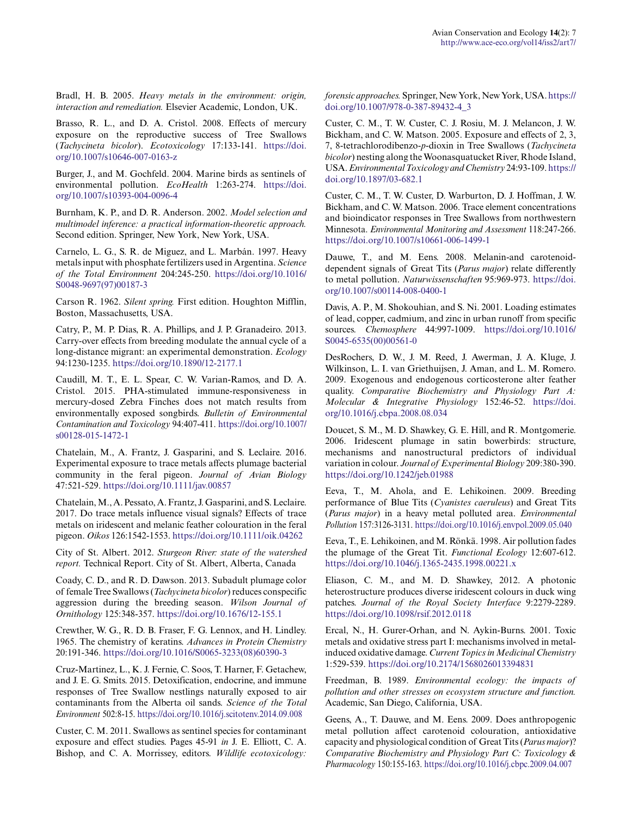Bradl, H. B. 2005. *Heavy metals in the environment: origin, interaction and remediation.* Elsevier Academic, London, UK.

Brasso, R. L., and D. A. Cristol. 2008. Effects of mercury exposure on the reproductive success of Tree Swallows (*Tachycineta bicolor*). *Ecotoxicology* 17:133-141. [https://doi.](https://doi.org/10.1007/s10646-007-0163-z) [org/10.1007/s10646-007-0163-z](https://doi.org/10.1007/s10646-007-0163-z) 

Burger, J., and M. Gochfeld. 2004. Marine birds as sentinels of environmental pollution. *EcoHealth* 1:263-274. [https://doi.](https://doi.org/10.1007/s10393-004-0096-4) [org/10.1007/s10393-004-0096-4](https://doi.org/10.1007/s10393-004-0096-4)

Burnham, K. P., and D. R. Anderson. 2002. *Model selection and multimodel inference: a practical information-theoretic approach.* Second edition. Springer, New York, New York, USA.

Carnelo, L. G., S. R. de Miguez, and L. Marbán. 1997. Heavy metals input with phosphate fertilizers used in Argentina. *Science of the Total Environment* 204:245-250. [https://doi.org/10.1016/](https://doi.org/10.1016/S0048-9697(97)00187-3) [S0048-9697\(97\)00187-3](https://doi.org/10.1016/S0048-9697(97)00187-3) 

Carson R. 1962. *Silent spring.* First edition. Houghton Mifflin, Boston, Massachusetts, USA.

Catry, P., M. P. Dias, R. A. Phillips, and J. P. Granadeiro. 2013. Carry-over effects from breeding modulate the annual cycle of a long-distance migrant: an experimental demonstration. *Ecology* 94:1230-1235.<https://doi.org/10.1890/12-2177.1>

Caudill, M. T., E. L. Spear, C. W. Varian-Ramos, and D. A. Cristol. 2015. PHA-stimulated immune-responsiveness in mercury-dosed Zebra Finches does not match results from environmentally exposed songbirds. *Bulletin of Environmental Contamination and Toxicology* 94:407-411. [https://doi.org/10.1007/](https://doi.org/10.1007/s00128-015-1472-1) [s00128-015-1472-1](https://doi.org/10.1007/s00128-015-1472-1) 

Chatelain, M., A. Frantz, J. Gasparini, and S. Leclaire. 2016. Experimental exposure to trace metals affects plumage bacterial community in the feral pigeon. *Journal of Avian Biology* 47:521-529.<https://doi.org/10.1111/jav.00857>

Chatelain, M., A. Pessato, A. Frantz, J. Gasparini, and S. Leclaire. 2017. Do trace metals influence visual signals? Effects of trace metals on iridescent and melanic feather colouration in the feral pigeon. *Oikos* 126:1542-1553.<https://doi.org/10.1111/oik.04262>

City of St. Albert. 2012. *Sturgeon River: state of the watershed report.* Technical Report. City of St. Albert, Alberta, Canada

Coady, C. D., and R. D. Dawson. 2013. Subadult plumage color of female Tree Swallows (*Tachycineta bicolor*) reduces conspecific aggression during the breeding season. *Wilson Journal of Ornithology* 125:348-357.<https://doi.org/10.1676/12-155.1>

Crewther, W. G., R. D. B. Fraser, F. G. Lennox, and H. Lindley. 1965. The chemistry of keratins. *Advances in Protein Chemistry* 20:191-346. [https://doi.org/10.1016/S0065-3233\(08\)60390-3](https://doi.org/10.1016/S0065-3233(08)60390-3) 

Cruz-Martinez, L., K. J. Fernie, C. Soos, T. Harner, F. Getachew, and J. E. G. Smits. 2015. Detoxification, endocrine, and immune responses of Tree Swallow nestlings naturally exposed to air contaminants from the Alberta oil sands. *Science of the Total Environment* 502:8-15.<https://doi.org/10.1016/j.scitotenv.2014.09.008>

Custer, C. M. 2011. Swallows as sentinel species for contaminant exposure and effect studies. Pages 45-91 *in* J. E. Elliott, C. A. Bishop, and C. A. Morrissey, editors. *Wildlife ecotoxicology:*

*forensic approaches.* Springer, New York, New York, USA. [https://](https://doi.org/10.1007/978-0-387-89432-4_3) [doi.org/10.1007/978-0-387-89432-4\\_3](https://doi.org/10.1007/978-0-387-89432-4_3)

Custer, C. M., T. W. Custer, C. J. Rosiu, M. J. Melancon, J. W. Bickham, and C. W. Matson. 2005. Exposure and effects of 2, 3, 7, 8-tetrachlorodibenzo-*p*-dioxin in Tree Swallows (*Tachycineta bicolor*) nesting along the Woonasquatucket River, Rhode Island, USA. *Environmental Toxicology and Chemistry* 24:93-109. [https://](https://doi.org/10.1897/03-682.1) [doi.org/10.1897/03-682.1](https://doi.org/10.1897/03-682.1)

Custer, C. M., T. W. Custer, D. Warburton, D. J. Hoffman, J. W. Bickham, and C. W. Matson. 2006. Trace element concentrations and bioindicator responses in Tree Swallows from northwestern Minnesota. *Environmental Monitoring and Assessment* 118:247-266. <https://doi.org/10.1007/s10661-006-1499-1>

Dauwe, T., and M. Eens. 2008. Melanin-and carotenoiddependent signals of Great Tits (*Parus major*) relate differently to metal pollution. *Naturwissenschaften* 95:969-973. [https://doi.](https://doi.org/10.1007/s00114-008-0400-1) [org/10.1007/s00114-008-0400-1](https://doi.org/10.1007/s00114-008-0400-1)

Davis, A. P., M. Shokouhian, and S. Ni. 2001. Loading estimates of lead, copper, cadmium, and zinc in urban runoff from specific sources. *Chemosphere* 44:997-1009. [https://doi.org/10.1016/](https://doi.org/10.1016/S0045-6535(00)00561-0) [S0045-6535\(00\)00561-0](https://doi.org/10.1016/S0045-6535(00)00561-0) 

DesRochers, D. W., J. M. Reed, J. Awerman, J. A. Kluge, J. Wilkinson, L. I. van Griethuijsen, J. Aman, and L. M. Romero. 2009. Exogenous and endogenous corticosterone alter feather quality. *Comparative Biochemistry and Physiology Part A: Molecular & Integrative Physiology* 152:46-52. [https://doi.](https://doi.org/10.1016/j.cbpa.2008.08.034) [org/10.1016/j.cbpa.2008.08.034](https://doi.org/10.1016/j.cbpa.2008.08.034)

Doucet, S. M., M. D. Shawkey, G. E. Hill, and R. Montgomerie. 2006. Iridescent plumage in satin bowerbirds: structure, mechanisms and nanostructural predictors of individual variation in colour. *Journal of Experimental Biology* 209:380-390. <https://doi.org/10.1242/jeb.01988>

Eeva, T., M. Ahola, and E. Lehikoinen. 2009. Breeding performance of Blue Tits (*Cyanistes caeruleus*) and Great Tits (*Parus major*) in a heavy metal polluted area. *Environmental Pollution* 157:3126-3131.<https://doi.org/10.1016/j.envpol.2009.05.040>

Eeva, T., E. Lehikoinen, and M. Rönkä. 1998. Air pollution fades the plumage of the Great Tit. *Functional Ecology* 12:607-612. <https://doi.org/10.1046/j.1365-2435.1998.00221.x>

Eliason, C. M., and M. D. Shawkey, 2012. A photonic heterostructure produces diverse iridescent colours in duck wing patches. *Journal of the Royal Society Interface* 9:2279-2289. <https://doi.org/10.1098/rsif.2012.0118>

Ercal, N., H. Gurer-Orhan, and N. Aykin-Burns. 2001. Toxic metals and oxidative stress part I: mechanisms involved in metalinduced oxidative damage. *Current Topics in Medicinal Chemistry* 1:529-539. <https://doi.org/10.2174/1568026013394831>

Freedman, B. 1989. *Environmental ecology: the impacts of pollution and other stresses on ecosystem structure and function.* Academic, San Diego, California, USA.

Geens, A., T. Dauwe, and M. Eens. 2009. Does anthropogenic metal pollution affect carotenoid colouration, antioxidative capacity and physiological condition of Great Tits (*Parus major*)? *Comparative Biochemistry and Physiology Part C: Toxicology & Pharmacology* 150:155-163. <https://doi.org/10.1016/j.cbpc.2009.04.007>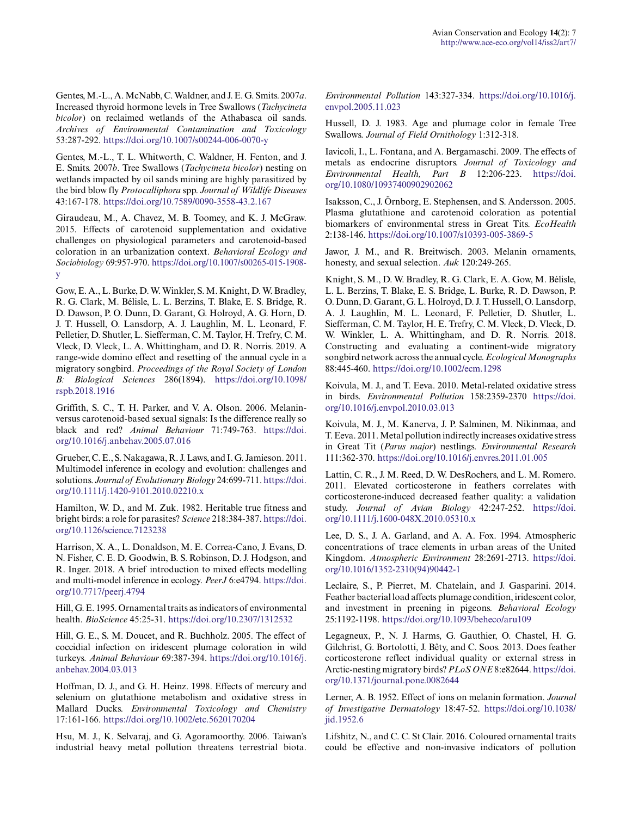Gentes, M.-L., A. McNabb, C. Waldner, and J. E. G. Smits. 2007*a*. Increased thyroid hormone levels in Tree Swallows (*Tachycineta bicolor*) on reclaimed wetlands of the Athabasca oil sands. *Archives of Environmental Contamination and Toxicology* 53:287-292.<https://doi.org/10.1007/s00244-006-0070-y>

Gentes, M.-L., T. L. Whitworth, C. Waldner, H. Fenton, and J. E. Smits. 2007*b*. Tree Swallows (*Tachycineta bicolor*) nesting on wetlands impacted by oil sands mining are highly parasitized by the bird blow fly *Protocalliphora* spp. *Journal of Wildlife Diseases* 43:167-178.<https://doi.org/10.7589/0090-3558-43.2.167>

Giraudeau, M., A. Chavez, M. B. Toomey, and K. J. McGraw. 2015. Effects of carotenoid supplementation and oxidative challenges on physiological parameters and carotenoid-based coloration in an urbanization context. *Behavioral Ecology and Sociobiology* 69:957-970. [https://doi.org/10.1007/s00265-015-1908](https://doi.org/10.1007/s00265-015-1908-y) [y](https://doi.org/10.1007/s00265-015-1908-y)

Gow, E. A., L. Burke, D. W. Winkler, S. M. Knight, D. W. Bradley, R. G. Clark, M. Bélisle, L. L. Berzins, T. Blake, E. S. Bridge, R. D. Dawson, P. O. Dunn, D. Garant, G. Holroyd, A. G. Horn, D. J. T. Hussell, O. Lansdorp, A. J. Laughlin, M. L. Leonard, F. Pelletier, D. Shutler, L. Siefferman, C. M. Taylor, H. Trefry, C. M. Vleck, D. Vleck, L. A. Whittingham, and D. R. Norris. 2019. A range-wide domino effect and resetting of the annual cycle in a migratory songbird. *Proceedings of the Royal Society of London B: Biological Sciences* 286(1894). [https://doi.org/10.1098/](https://doi.org/10.1098/rspb.2018.1916) [rspb.2018.1916](https://doi.org/10.1098/rspb.2018.1916)

Griffith, S. C., T. H. Parker, and V. A. Olson. 2006. Melaninversus carotenoid-based sexual signals: Is the difference really so black and red? *Animal Behaviour* 71:749-763. [https://doi.](https://doi.org/10.1016/j.anbehav.2005.07.016) [org/10.1016/j.anbehav.2005.07.016](https://doi.org/10.1016/j.anbehav.2005.07.016) 

Grueber, C. E., S. Nakagawa, R. J. Laws, and I. G. Jamieson. 2011. Multimodel inference in ecology and evolution: challenges and solutions. *Journal of Evolutionary Biology* 24:699-711. [https://doi.](https://doi.org/10.1111/j.1420-9101.2010.02210.x) [org/10.1111/j.1420-9101.2010.02210.x](https://doi.org/10.1111/j.1420-9101.2010.02210.x)

Hamilton, W. D., and M. Zuk. 1982. Heritable true fitness and bright birds: a role for parasites? *Science* 218:384-387. [https://doi.](https://doi.org/10.1126/science.7123238) [org/10.1126/science.7123238](https://doi.org/10.1126/science.7123238)

Harrison, X. A., L. Donaldson, M. E. Correa‐Cano, J. Evans, D. N. Fisher, C. E. D. Goodwin, B. S. Robinson, D. J. Hodgson, and R. Inger. 2018. A brief introduction to mixed effects modelling and multi‐model inference in ecology. *PeerJ* 6:e4794. [https://doi.](https://doi.org/10.7717/peerj.4794) [org/10.7717/peerj.4794](https://doi.org/10.7717/peerj.4794)

Hill, G. E. 1995. Ornamental traits as indicators of environmental health. *BioScience* 45:25-31. <https://doi.org/10.2307/1312532>

Hill, G. E., S. M. Doucet, and R. Buchholz. 2005. The effect of coccidial infection on iridescent plumage coloration in wild turkeys. *Animal Behaviour* 69:387-394. [https://doi.org/10.1016/j.](https://doi.org/10.1016/j.anbehav.2004.03.013) [anbehav.2004.03.013](https://doi.org/10.1016/j.anbehav.2004.03.013) 

Hoffman, D. J., and G. H. Heinz. 1998. Effects of mercury and selenium on glutathione metabolism and oxidative stress in Mallard Ducks. *Environmental Toxicology and Chemistry* 17:161-166.<https://doi.org/10.1002/etc.5620170204>

Hsu, M. J., K. Selvaraj, and G. Agoramoorthy. 2006. Taiwan's industrial heavy metal pollution threatens terrestrial biota.

*Environmental Pollution* 143:327-334. [https://doi.org/10.1016/j.](https://doi.org/10.1016/j.envpol.2005.11.023) [envpol.2005.11.023](https://doi.org/10.1016/j.envpol.2005.11.023)

Hussell, D. J. 1983. Age and plumage color in female Tree Swallows. *Journal of Field Ornithology* 1:312-318.

Iavicoli, I., L. Fontana, and A. Bergamaschi. 2009. The effects of metals as endocrine disruptors. *Journal of Toxicology and Environmental Health, Part B* 12:206-223. [https://doi.](https://doi.org/10.1080/10937400902902062) [org/10.1080/10937400902902062](https://doi.org/10.1080/10937400902902062) 

Isaksson, C., J. Örnborg, E. Stephensen, and S. Andersson. 2005. Plasma glutathione and carotenoid coloration as potential biomarkers of environmental stress in Great Tits. *EcoHealth* 2:138-146. <https://doi.org/10.1007/s10393-005-3869-5>

Jawor, J. M., and R. Breitwisch. 2003. Melanin ornaments, honesty, and sexual selection. *Auk* 120:249-265.

Knight, S. M., D. W. Bradley, R. G. Clark, E. A. Gow, M. Bélisle, L. L. Berzins, T. Blake, E. S. Bridge, L. Burke, R. D. Dawson, P. O. Dunn, D. Garant, G. L. Holroyd, D. J. T. Hussell, O. Lansdorp, A. J. Laughlin, M. L. Leonard, F. Pelletier, D. Shutler, L. Siefferman, C. M. Taylor, H. E. Trefry, C. M. Vleck, D. Vleck, D. W. Winkler, L. A. Whittingham, and D. R. Norris. 2018. Constructing and evaluating a continent-wide migratory songbird network across the annual cycle. *Ecological Monographs* 88:445-460.<https://doi.org/10.1002/ecm.1298>

Koivula, M. J., and T. Eeva. 2010. Metal-related oxidative stress in birds. *Environmental Pollution* 158:2359-2370 [https://doi.](https://doi.org/10.1016/j.envpol.2010.03.013) [org/10.1016/j.envpol.2010.03.013](https://doi.org/10.1016/j.envpol.2010.03.013)

Koivula, M. J., M. Kanerva, J. P. Salminen, M. Nikinmaa, and T. Eeva. 2011. Metal pollution indirectly increases oxidative stress in Great Tit (*Parus major*) nestlings. *Environmental Research* 111:362-370. <https://doi.org/10.1016/j.envres.2011.01.005>

Lattin, C. R., J. M. Reed, D. W. DesRochers, and L. M. Romero. 2011. Elevated corticosterone in feathers correlates with corticosterone-induced decreased feather quality: a validation study. *Journal of Avian Biology* 42:247-252. [https://doi.](https://doi.org/10.1111/j.1600-048X.2010.05310.x) [org/10.1111/j.1600-048X.2010.05310.x](https://doi.org/10.1111/j.1600-048X.2010.05310.x) 

Lee, D. S., J. A. Garland, and A. A. Fox. 1994. Atmospheric concentrations of trace elements in urban areas of the United Kingdom. *Atmospheric Environment* 28:2691-2713. [https://doi.](https://doi.org/10.1016/1352-2310(94)90442-1) [org/10.1016/1352-2310\(94\)90442-1](https://doi.org/10.1016/1352-2310(94)90442-1)

Leclaire, S., P. Pierret, M. Chatelain, and J. Gasparini. 2014. Feather bacterial load affects plumage condition, iridescent color, and investment in preening in pigeons. *Behavioral Ecology* 25:1192-1198.<https://doi.org/10.1093/beheco/aru109>

Legagneux, P., N. J. Harms, G. Gauthier, O. Chastel, H. G. Gilchrist, G. Bortolotti, J. Bêty, and C. Soos. 2013. Does feather corticosterone reflect individual quality or external stress in Arctic-nesting migratory birds? *PLoS ONE* 8:e82644. [https://doi.](https://doi.org/10.1371/journal.pone.0082644) [org/10.1371/journal.pone.0082644](https://doi.org/10.1371/journal.pone.0082644) 

Lerner, A. B. 1952. Effect of ions on melanin formation. *Journal of Investigative Dermatology* 18:47-52. [https://doi.org/10.1038/](https://doi.org/10.1038/jid.1952.6) [jid.1952.6](https://doi.org/10.1038/jid.1952.6)

Lifshitz, N., and C. C. St Clair. 2016. Coloured ornamental traits could be effective and non-invasive indicators of pollution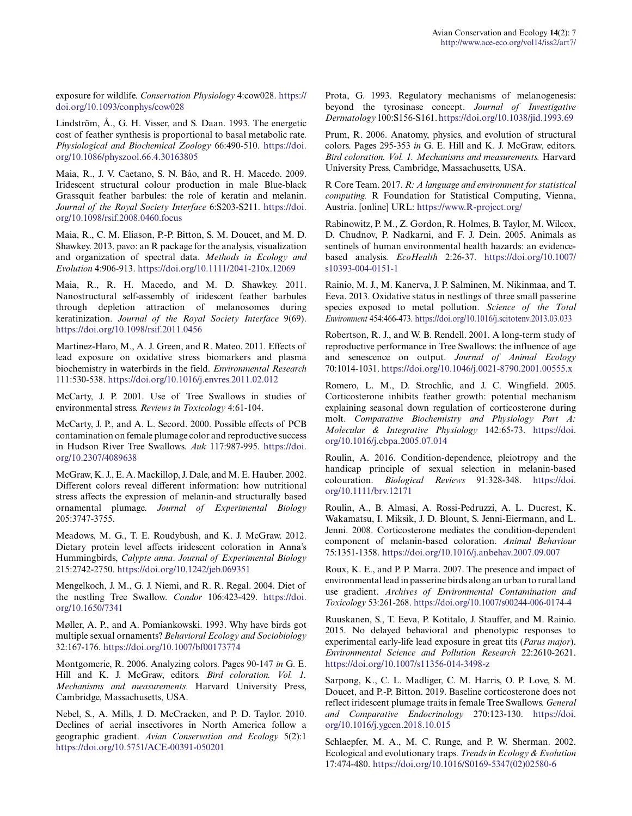exposure for wildlife. *Conservation Physiology* 4:cow028. [https://](https://doi.org/10.1093/conphys/cow028) [doi.org/10.1093/conphys/cow028](https://doi.org/10.1093/conphys/cow028)

Lindström, Å., G. H. Visser, and S. Daan. 1993. The energetic cost of feather synthesis is proportional to basal metabolic rate. *Physiological and Biochemical Zoology* 66:490-510. [https://doi.](https://doi.org/10.1086/physzool.66.4.30163805) [org/10.1086/physzool.66.4.30163805](https://doi.org/10.1086/physzool.66.4.30163805) 

Maia, R., J. V. Caetano, S. N. Báo, and R. H. Macedo. 2009. Iridescent structural colour production in male Blue-black Grassquit feather barbules: the role of keratin and melanin. *Journal of the Royal Society Interface* 6:S203-S211. [https://doi.](https://doi.org/10.1098/rsif.2008.0460.focus) [org/10.1098/rsif.2008.0460.focus](https://doi.org/10.1098/rsif.2008.0460.focus)

Maia, R., C. M. Eliason, P.-P. Bitton, S. M. Doucet, and M. D. Shawkey. 2013. pavo: an R package for the analysis, visualization and organization of spectral data. *Methods in Ecology and Evolution* 4:906-913.<https://doi.org/10.1111/2041-210x.12069>

Maia, R., R. H. Macedo, and M. D. Shawkey. 2011. Nanostructural self-assembly of iridescent feather barbules through depletion attraction of melanosomes during keratinization. *Journal of the Royal Society Interface* 9(69). <https://doi.org/10.1098/rsif.2011.0456>

Martinez-Haro, M., A. J. Green, and R. Mateo. 2011. Effects of lead exposure on oxidative stress biomarkers and plasma biochemistry in waterbirds in the field. *Environmental Research* 111:530-538. <https://doi.org/10.1016/j.envres.2011.02.012>

McCarty, J. P. 2001. Use of Tree Swallows in studies of environmental stress. *Reviews in Toxicology* 4:61-104.

McCarty, J. P., and A. L. Secord. 2000. Possible effects of PCB contamination on female plumage color and reproductive success in Hudson River Tree Swallows. *Auk* 117:987-995. [https://doi.](https://doi.org/10.2307/4089638) [org/10.2307/4089638](https://doi.org/10.2307/4089638) 

McGraw, K. J., E. A. Mackillop, J. Dale, and M. E. Hauber. 2002. Different colors reveal different information: how nutritional stress affects the expression of melanin-and structurally based ornamental plumage. *Journal of Experimental Biology* 205:3747-3755.

Meadows, M. G., T. E. Roudybush, and K. J. McGraw. 2012. Dietary protein level affects iridescent coloration in Anna's Hummingbirds, *Calypte anna*. *Journal of Experimental Biology* 215:2742-2750. <https://doi.org/10.1242/jeb.069351>

Mengelkoch, J. M., G. J. Niemi, and R. R. Regal. 2004. Diet of the nestling Tree Swallow. *Condor* 106:423-429. [https://doi.](https://doi.org/10.1650/7341) [org/10.1650/7341](https://doi.org/10.1650/7341)

Møller, A. P., and A. Pomiankowski. 1993. Why have birds got multiple sexual ornaments? *Behavioral Ecology and Sociobiology* 32:167-176.<https://doi.org/10.1007/bf00173774>

Montgomerie, R. 2006. Analyzing colors. Pages 90-147 *in* G. E. Hill and K. J. McGraw, editors. *Bird coloration. Vol. 1. Mechanisms and measurements.* Harvard University Press, Cambridge, Massachusetts, USA.

Nebel, S., A. Mills, J. D. McCracken, and P. D. Taylor. 2010. Declines of aerial insectivores in North America follow a geographic gradient. *Avian Conservation and Ecology* 5(2):1 <https://doi.org/10.5751/ACE-00391-050201>

Prota, G. 1993. Regulatory mechanisms of melanogenesis: beyond the tyrosinase concept. *Journal of Investigative Dermatology* 100:S156-S161.<https://doi.org/10.1038/jid.1993.69>

Prum, R. 2006. Anatomy, physics, and evolution of structural colors. Pages 295-353 *in* G. E. Hill and K. J. McGraw, editors. *Bird coloration. Vol. 1. Mechanisms and measurements.* Harvard University Press, Cambridge, Massachusetts, USA.

R Core Team. 2017. *R: A language and environment for statistical computing.* R Foundation for Statistical Computing, Vienna, Austria. [online] URL: <https://www.R-project.org/>

Rabinowitz, P. M., Z. Gordon, R. Holmes, B. Taylor, M. Wilcox, D. Chudnov, P. Nadkarni, and F. J. Dein. 2005. Animals as sentinels of human environmental health hazards: an evidencebased analysis. *EcoHealth* 2:26-37. [https://doi.org/10.1007/](https://doi.org/10.1007/s10393-004-0151-1) [s10393-004-0151-1](https://doi.org/10.1007/s10393-004-0151-1) 

Rainio, M. J., M. Kanerva, J. P. Salminen, M. Nikinmaa, and T. Eeva. 2013. Oxidative status in nestlings of three small passerine species exposed to metal pollution. *Science of the Total Environment* 454:466-473.<https://doi.org/10.1016/j.scitotenv.2013.03.033>

Robertson, R. J., and W. B. Rendell. 2001. A long-term study of reproductive performance in Tree Swallows: the influence of age and senescence on output. *Journal of Animal Ecology* 70:1014-1031.<https://doi.org/10.1046/j.0021-8790.2001.00555.x>

Romero, L. M., D. Strochlic, and J. C. Wingfield. 2005. Corticosterone inhibits feather growth: potential mechanism explaining seasonal down regulation of corticosterone during molt. *Comparative Biochemistry and Physiology Part A: Molecular & Integrative Physiology* 142:65-73. [https://doi.](https://doi.org/10.1016/j.cbpa.2005.07.014) [org/10.1016/j.cbpa.2005.07.014](https://doi.org/10.1016/j.cbpa.2005.07.014)

Roulin, A. 2016. Condition-dependence, pleiotropy and the handicap principle of sexual selection in melanin-based colouration. *Biological Reviews* 91:328-348. [https://doi.](https://doi.org/10.1111/brv.12171) [org/10.1111/brv.12171](https://doi.org/10.1111/brv.12171)

Roulin, A., B. Almasi, A. Rossi-Pedruzzi, A. L. Ducrest, K. Wakamatsu, I. Miksik, J. D. Blount, S. Jenni-Eiermann, and L. Jenni. 2008. Corticosterone mediates the condition-dependent component of melanin-based coloration. *Animal Behaviour* 75:1351-1358.<https://doi.org/10.1016/j.anbehav.2007.09.007>

Roux, K. E., and P. P. Marra. 2007. The presence and impact of environmental lead in passerine birds along an urban to rural land use gradient. *Archives of Environmental Contamination and Toxicology* 53:261-268. <https://doi.org/10.1007/s00244-006-0174-4>

Ruuskanen, S., T. Eeva, P. Kotitalo, J. Stauffer, and M. Rainio. 2015. No delayed behavioral and phenotypic responses to experimental early-life lead exposure in great tits (*Parus major*). *Environmental Science and Pollution Research* 22:2610-2621. <https://doi.org/10.1007/s11356-014-3498-z>

Sarpong, K., C. L. Madliger, C. M. Harris, O. P. Love, S. M. Doucet, and P.-P. Bitton. 2019. Baseline corticosterone does not reflect iridescent plumage traits in female Tree Swallows. *General and Comparative Endocrinology* 270:123-130. [https://doi.](https://doi.org/10.1016/j.ygcen.2018.10.015) [org/10.1016/j.ygcen.2018.10.015](https://doi.org/10.1016/j.ygcen.2018.10.015)

Schlaepfer, M. A., M. C. Runge, and P. W. Sherman. 2002. Ecological and evolutionary traps. *Trends in Ecology & Evolution* 17:474-480. [https://doi.org/10.1016/S0169-5347\(02\)02580-6](https://doi.org/10.1016/S0169-5347(02)02580-6)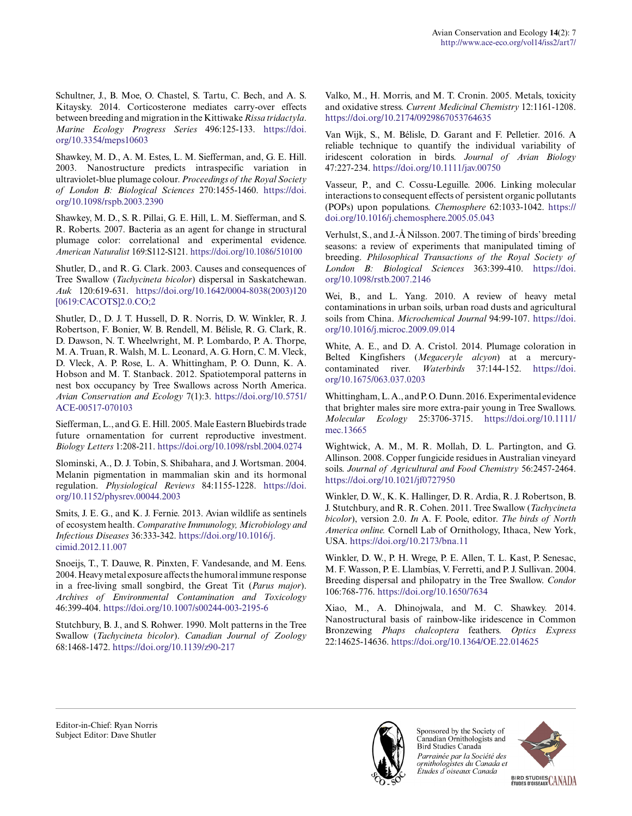Schultner, J., B. Moe, O. Chastel, S. Tartu, C. Bech, and A. S. Kitaysky. 2014. Corticosterone mediates carry-over effects between breeding and migration in the Kittiwake *Rissa tridactyla*. *Marine Ecology Progress Series* 496:125-133. [https://doi.](https://doi.org/10.3354/meps10603) [org/10.3354/meps10603](https://doi.org/10.3354/meps10603)

Shawkey, M. D., A. M. Estes, L. M. Siefferman, and, G. E. Hill. 2003. Nanostructure predicts intraspecific variation in ultraviolet-blue plumage colour. *Proceedings of the Royal Society of London B: Biological Sciences* 270:1455-1460. [https://doi.](https://doi.org/10.1098/rspb.2003.2390) [org/10.1098/rspb.2003.2390](https://doi.org/10.1098/rspb.2003.2390)

Shawkey, M. D., S. R. Pillai, G. E. Hill, L. M. Siefferman, and S. R. Roberts. 2007. Bacteria as an agent for change in structural plumage color: correlational and experimental evidence. *American Naturalist* 169:S112-S121.<https://doi.org/10.1086/510100>

Shutler, D., and R. G. Clark. 2003. Causes and consequences of Tree Swallow (*Tachycineta bicolor*) dispersal in Saskatchewan. *Auk* 120:619-631. [https://doi.org/10.1642/0004-8038\(2003\)120](https://doi.org/10.1642/0004-8038(2003)120[0619:CACOTS]2.0.CO;2) [\[0619:CACOTS\]2.0.CO;2](https://doi.org/10.1642/0004-8038(2003)120[0619:CACOTS]2.0.CO;2) 

Shutler, D., D. J. T. Hussell, D. R. Norris, D. W. Winkler, R. J. Robertson, F. Bonier, W. B. Rendell, M. Bélisle, R. G. Clark, R. D. Dawson, N. T. Wheelwright, M. P. Lombardo, P. A. Thorpe, M. A. Truan, R. Walsh, M. L. Leonard, A. G. Horn, C. M. Vleck, D. Vleck, A. P. Rose, L. A. Whittingham, P. O. Dunn, K. A. Hobson and M. T. Stanback. 2012. Spatiotemporal patterns in nest box occupancy by Tree Swallows across North America. *Avian Conservation and Ecology* 7(1):3. [https://doi.org/10.5751/](https://doi.org/10.5751/ACE-00517-070103) [ACE-00517-070103](https://doi.org/10.5751/ACE-00517-070103) 

Siefferman, L., and G. E. Hill. 2005. Male Eastern Bluebirds trade future ornamentation for current reproductive investment. *Biology Letters* 1:208-211. <https://doi.org/10.1098/rsbl.2004.0274>

Slominski, A., D. J. Tobin, S. Shibahara, and J. Wortsman. 2004. Melanin pigmentation in mammalian skin and its hormonal regulation. *Physiological Reviews* 84:1155-1228. [https://doi.](https://doi.org/10.1152/physrev.00044.2003) [org/10.1152/physrev.00044.2003](https://doi.org/10.1152/physrev.00044.2003) 

Smits, J. E. G., and K. J. Fernie. 2013. Avian wildlife as sentinels of ecosystem health. *Comparative Immunology, Microbiology and Infectious Diseases* 36:333-342. [https://doi.org/10.1016/j.](https://doi.org/10.1016/j.cimid.2012.11.007) [cimid.2012.11.007](https://doi.org/10.1016/j.cimid.2012.11.007)

Snoeijs, T., T. Dauwe, R. Pinxten, F. Vandesande, and M. Eens. 2004. Heavy metal exposure affects the humoral immune response in a free-living small songbird, the Great Tit (*Parus major*). *Archives of Environmental Contamination and Toxicology* 46:399-404.<https://doi.org/10.1007/s00244-003-2195-6>

Stutchbury, B. J., and S. Rohwer. 1990. Molt patterns in the Tree Swallow (*Tachycineta bicolor*). *Canadian Journal of Zoology* 68:1468-1472.<https://doi.org/10.1139/z90-217>

Valko, M., H. Morris, and M. T. Cronin. 2005. Metals, toxicity and oxidative stress. *Current Medicinal Chemistry* 12:1161-1208. <https://doi.org/10.2174/0929867053764635>

Van Wijk, S., M. Bélisle, D. Garant and F. Pelletier. 2016. A reliable technique to quantify the individual variability of iridescent coloration in birds. *Journal of Avian Biology* 47:227-234.<https://doi.org/10.1111/jav.00750>

Vasseur, P., and C. Cossu-Leguille. 2006. Linking molecular interactions to consequent effects of persistent organic pollutants (POPs) upon populations. *Chemosphere* 62:1033-1042. [https://](https://doi.org/10.1016/j.chemosphere.2005.05.043) [doi.org/10.1016/j.chemosphere.2005.05.043](https://doi.org/10.1016/j.chemosphere.2005.05.043)

Verhulst, S., and J.-Å Nilsson. 2007. The timing of birds' breeding seasons: a review of experiments that manipulated timing of breeding. *Philosophical Transactions of the Royal Society of London B: Biological Sciences* 363:399-410. [https://doi.](https://doi.org/10.1098/rstb.2007.2146) [org/10.1098/rstb.2007.2146](https://doi.org/10.1098/rstb.2007.2146)

Wei, B., and L. Yang. 2010. A review of heavy metal contaminations in urban soils, urban road dusts and agricultural soils from China. *Microchemical Journal* 94:99-107. [https://doi.](https://doi.org/10.1016/j.microc.2009.09.014) [org/10.1016/j.microc.2009.09.014](https://doi.org/10.1016/j.microc.2009.09.014) 

White, A. E., and D. A. Cristol. 2014. Plumage coloration in Belted Kingfishers (*Megaceryle alcyon*) at a mercurycontaminated river. *Waterbirds* 37:144-152. [https://doi.](https://doi.org/10.1675/063.037.0203) [org/10.1675/063.037.0203](https://doi.org/10.1675/063.037.0203)

Whittingham, L. A., and P. O. Dunn. 2016. Experimental evidence that brighter males sire more extra-pair young in Tree Swallows. *Molecular Ecology* 25:3706-3715. [https://doi.org/10.1111/](https://doi.org/10.1111/mec.13665) [mec.13665](https://doi.org/10.1111/mec.13665)

Wightwick, A. M., M. R. Mollah, D. L. Partington, and G. Allinson. 2008. Copper fungicide residues in Australian vineyard soils. *Journal of Agricultural and Food Chemistry* 56:2457-2464. <https://doi.org/10.1021/jf0727950>

Winkler, D. W., K. K. Hallinger, D. R. Ardia, R. J. Robertson, B. J. Stutchbury, and R. R. Cohen. 2011. Tree Swallow (*Tachycineta bicolor*), version 2.0. *In* A. F. Poole, editor. *The birds of North America online.* Cornell Lab of Ornithology, Ithaca, New York, USA.<https://doi.org/10.2173/bna.11>

Winkler, D. W., P. H. Wrege, P. E. Allen, T. L. Kast, P. Senesac, M. F. Wasson, P. E. Llambías, V. Ferretti, and P. J. Sullivan. 2004. Breeding dispersal and philopatry in the Tree Swallow. *Condor* 106:768-776. <https://doi.org/10.1650/7634>

Xiao, M., A. Dhinojwala, and M. C. Shawkey. 2014. Nanostructural basis of rainbow-like iridescence in Common Bronzewing *Phaps chalcoptera* feathers. *Optics Express* 22:14625-14636.<https://doi.org/10.1364/OE.22.014625>

Editor-in-Chief: Ryan Norris Subject Editor: Dave Shutler



Sponsored by the Society of Canadian Ornithologists and Bird Studies Canada Parrainée par la Société des ornithologistes du Canada et Études d'oiseaux Canada



BIRD STUDIES CANADA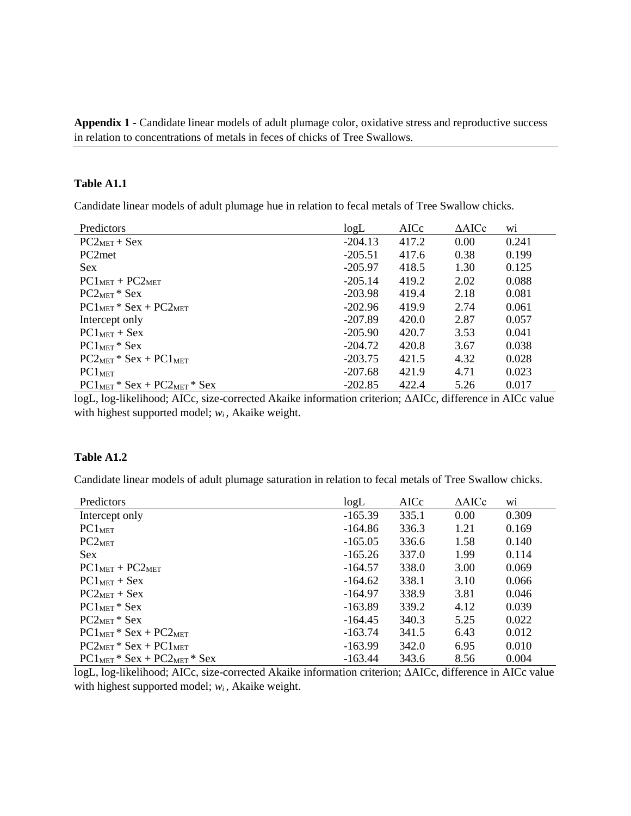**Appendix 1 -** Candidate linear models of adult plumage color, oxidative stress and reproductive success in relation to concentrations of metals in feces of chicks of Tree Swallows.

## **Table A1.1**

Candidate linear models of adult plumage hue in relation to fecal metals of Tree Swallow chicks.

| Predictors                            | logL      | AICc  | $\triangle AICc$ | W1    |
|---------------------------------------|-----------|-------|------------------|-------|
| $PC2_{MET} + Sex$                     | $-204.13$ | 417.2 | 0.00             | 0.241 |
| PC <sub>2</sub> met                   | $-205.51$ | 417.6 | 0.38             | 0.199 |
| Sex                                   | $-205.97$ | 418.5 | 1.30             | 0.125 |
| $PC1_{\text{MET}} + PC2_{\text{MET}}$ | $-205.14$ | 419.2 | 2.02             | 0.088 |
| $PC2MET * Sex$                        | $-203.98$ | 419.4 | 2.18             | 0.081 |
| $PC1MET * Sex + PC2MET$               | $-202.96$ | 419.9 | 2.74             | 0.061 |
| Intercept only                        | $-207.89$ | 420.0 | 2.87             | 0.057 |
| $PC1_{MET} + Sex$                     | $-205.90$ | 420.7 | 3.53             | 0.041 |
| $PC1MET * Sex$                        | $-204.72$ | 420.8 | 3.67             | 0.038 |
| $PC2MET * Sex + PC1MET$               | $-203.75$ | 421.5 | 4.32             | 0.028 |
| PC1 <sub>MET</sub>                    | $-207.68$ | 421.9 | 4.71             | 0.023 |
| $PC1MET * Sex + PC2MET * Sex$         | $-202.85$ | 422.4 | 5.26             | 0.017 |

logL, log-likelihood; AICc, size-corrected Akaike information criterion; ΔAICc, difference in AICc value with highest supported model;  $w_i$ , Akaike weight.

#### **Table A1.2**

Candidate linear models of adult plumage saturation in relation to fecal metals of Tree Swallow chicks.

| Predictors                    | logL      | AICc  | $\triangle AICc$ | W1    |
|-------------------------------|-----------|-------|------------------|-------|
| Intercept only                | $-165.39$ | 335.1 | 0.00             | 0.309 |
| $PC1_{MET}$                   | $-164.86$ | 336.3 | 1.21             | 0.169 |
| $PC2_{MET}$                   | $-165.05$ | 336.6 | 1.58             | 0.140 |
| Sex.                          | $-165.26$ | 337.0 | 1.99             | 0.114 |
| $PC1_{MET} + PC2_{MET}$       | $-164.57$ | 338.0 | 3.00             | 0.069 |
| $PC1_{MET} + Sex$             | $-164.62$ | 338.1 | 3.10             | 0.066 |
| $PC2_{MET} + Sex$             | $-164.97$ | 338.9 | 3.81             | 0.046 |
| $PC1MET * Sex$                | $-163.89$ | 339.2 | 4.12             | 0.039 |
| $PC2MET * Sex$                | $-164.45$ | 340.3 | 5.25             | 0.022 |
| $PC1MET * Sex + PC2MET$       | $-163.74$ | 341.5 | 6.43             | 0.012 |
| $PC2MET * Sex + PC1MET$       | $-163.99$ | 342.0 | 6.95             | 0.010 |
| $PC1MET * Sex + PC2MET * Sex$ | $-163.44$ | 343.6 | 8.56             | 0.004 |

logL, log-likelihood; AICc, size-corrected Akaike information criterion; ΔAICc, difference in AICc value with highest supported model;  $w_i$ , Akaike weight.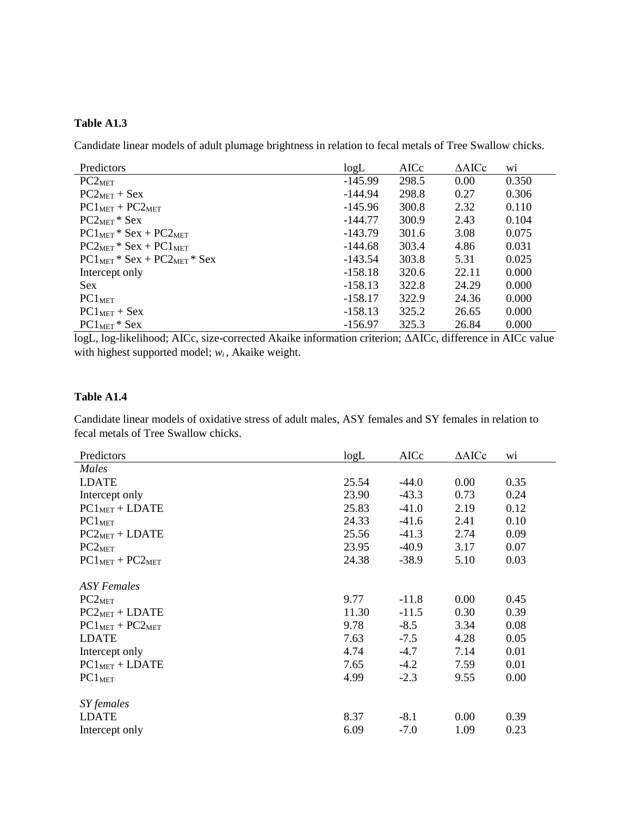## **Table A1.3**

Candidate linear models of adult plumage brightness in relation to fecal metals of Tree Swallow chicks.

| Predictors                            | logL      | AICc  | $\triangle AICc$ | W1    |
|---------------------------------------|-----------|-------|------------------|-------|
| $PC2_{MET}$                           | $-145.99$ | 298.5 | 0.00             | 0.350 |
| $PC2_{MET} + Sex$                     | -144.94   | 298.8 | 0.27             | 0.306 |
| $PC1_{\text{MET}} + PC2_{\text{MET}}$ | $-145.96$ | 300.8 | 2.32             | 0.110 |
| $PC2MET * Sex$                        | $-144.77$ | 300.9 | 2.43             | 0.104 |
| $PC1MET * Sex + PC2MET$               | $-143.79$ | 301.6 | 3.08             | 0.075 |
| $PC2MET * Sex + PC1MET$               | $-144.68$ | 303.4 | 4.86             | 0.031 |
| $PC1MET * Sex + PC2MET * Sex$         | $-143.54$ | 303.8 | 5.31             | 0.025 |
| Intercept only                        | $-158.18$ | 320.6 | 22.11            | 0.000 |
| Sex                                   | $-158.13$ | 322.8 | 24.29            | 0.000 |
| PC1 <sub>MET</sub>                    | $-158.17$ | 322.9 | 24.36            | 0.000 |
| $PC1_{MET} + Sex$                     | $-158.13$ | 325.2 | 26.65            | 0.000 |
| $PC1MET * Sex$                        | $-156.97$ | 325.3 | 26.84            | 0.000 |

logL, log-likelihood; AICc, size-corrected Akaike information criterion; ΔAICc, difference in AICc value with highest supported model;  $w_i$ , Akaike weight.

# **Table A1.4**

Candidate linear models of oxidative stress of adult males, ASY females and SY females in relation to fecal metals of Tree Swallow chicks.

| Predictors                            | logL  | AICc    | $\triangle$ AICc | W <sub>1</sub> |
|---------------------------------------|-------|---------|------------------|----------------|
| Males                                 |       |         |                  |                |
| <b>LDATE</b>                          | 25.54 | $-44.0$ | 0.00             | 0.35           |
| Intercept only                        | 23.90 | $-43.3$ | 0.73             | 0.24           |
| $PC1MET + LDATE$                      | 25.83 | $-41.0$ | 2.19             | 0.12           |
| PC1 <sub>MET</sub>                    | 24.33 | $-41.6$ | 2.41             | 0.10           |
| $PC2MET + LDATE$                      | 25.56 | $-41.3$ | 2.74             | 0.09           |
| $PC2_{MET}$                           | 23.95 | $-40.9$ | 3.17             | 0.07           |
| $PC1_{\text{MET}} + PC2_{\text{MET}}$ | 24.38 | $-38.9$ | 5.10             | 0.03           |
| <b>ASY Females</b>                    |       |         |                  |                |
| PC2 <sub>MET</sub>                    | 9.77  | $-11.8$ | 0.00             | 0.45           |
| $PC2MET + LDATE$                      | 11.30 | $-11.5$ | 0.30             | 0.39           |
| $PC1_{MET} + PC2_{MET}$               | 9.78  | $-8.5$  | 3.34             | 0.08           |
| <b>LDATE</b>                          | 7.63  | $-7.5$  | 4.28             | 0.05           |
| Intercept only                        | 4.74  | $-4.7$  | 7.14             | 0.01           |
| $PC1MET + LDATE$                      | 7.65  | $-4.2$  | 7.59             | 0.01           |
| PC1 <sub>MET</sub>                    | 4.99  | $-2.3$  | 9.55             | 0.00           |
| SY females                            |       |         |                  |                |
| <b>LDATE</b>                          | 8.37  | $-8.1$  | 0.00             | 0.39           |
| Intercept only                        | 6.09  | $-7.0$  | 1.09             | 0.23           |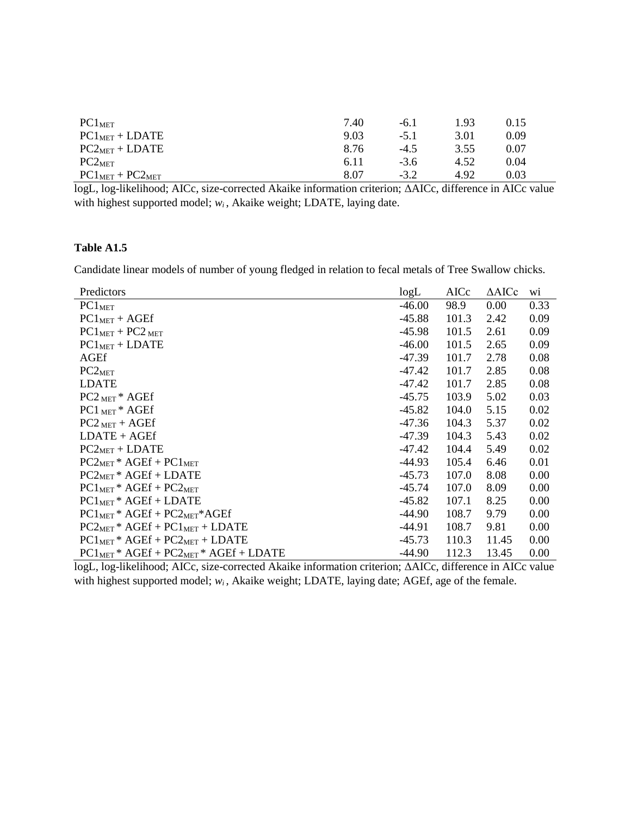| PC1 <sub>MET</sub>      | 7.40 | $-6.1$ | 1.93 | 0.15 |
|-------------------------|------|--------|------|------|
| $PC1_{MET} + LDATE$     | 9.03 | $-5.1$ | 3.01 | 0.09 |
| $PC2_{MET} + LDATE$     | 8.76 | $-4.5$ | 3.55 | 0.07 |
| $PC2_{MET}$             | 6.11 | $-3.6$ | 4.52 | 0.04 |
| $PC1_{MET} + PC2_{MET}$ | 8.07 | $-3.2$ | 4.92 | 0.03 |

logL, log-likelihood; AICc, size-corrected Akaike information criterion; ΔAICc, difference in AICc value with highest supported model;  $w_i$ , Akaike weight; LDATE, laying date.

# **Table A1.5**

Candidate linear models of number of young fledged in relation to fecal metals of Tree Swallow chicks.

| Predictors                                             | logL     | AICc  | $\triangle$ AICc | W1   |
|--------------------------------------------------------|----------|-------|------------------|------|
| PC1 <sub>MET</sub>                                     | $-46.00$ | 98.9  | 0.00             | 0.33 |
| $PC1_{MET} + AGEf$                                     | -45.88   | 101.3 | 2.42             | 0.09 |
| $PC1_{\text{MET}} + PC2_{\text{MET}}$                  | $-45.98$ | 101.5 | 2.61             | 0.09 |
| $PC1MET + LDATE$                                       | $-46.00$ | 101.5 | 2.65             | 0.09 |
| AGEf                                                   | -47.39   | 101.7 | 2.78             | 0.08 |
| $PC2_{MET}$                                            | -47.42   | 101.7 | 2.85             | 0.08 |
| <b>LDATE</b>                                           | -47.42   | 101.7 | 2.85             | 0.08 |
| $PC2$ MET* AGEf                                        | $-45.75$ | 103.9 | 5.02             | 0.03 |
| $PC1$ MET $*$ AGEf                                     | $-45.82$ | 104.0 | 5.15             | 0.02 |
| $PC2_{MET} + AGEf$                                     | $-47.36$ | 104.3 | 5.37             | 0.02 |
| $LDATE + AGEf$                                         | -47.39   | 104.3 | 5.43             | 0.02 |
| $PC2MET + LDATE$                                       | $-47.42$ | 104.4 | 5.49             | 0.02 |
| $PC2MET * AGEf + PC1MET$                               | -44.93   | 105.4 | 6.46             | 0.01 |
| $PC2MET * AGEf + LDATE$                                | $-45.73$ | 107.0 | 8.08             | 0.00 |
| $PC1MET * AGEf + PC2MET$                               | $-45.74$ | 107.0 | 8.09             | 0.00 |
| $PC1MET * AGEf + LDATE$                                | -45.82   | 107.1 | 8.25             | 0.00 |
| $PC1MET * AGEf + PC2MET * AGEf$                        | -44.90   | 108.7 | 9.79             | 0.00 |
| $PC2MET * AGEf + PC1MET + LDATE$                       | -44.91   | 108.7 | 9.81             | 0.00 |
| $PC1_{\text{MET}}$ * AGEf + $PC2_{\text{MET}}$ + LDATE | $-45.73$ | 110.3 | 11.45            | 0.00 |
| $PC1_{MET}$ * AGEf + $PC2_{MET}$ * AGEf + LDATE        | -44.90   | 112.3 | 13.45            | 0.00 |

logL, log-likelihood; AICc, size-corrected Akaike information criterion; ΔAICc, difference in AICc value with highest supported model;  $w_i$ , Akaike weight; LDATE, laying date; AGEf, age of the female.